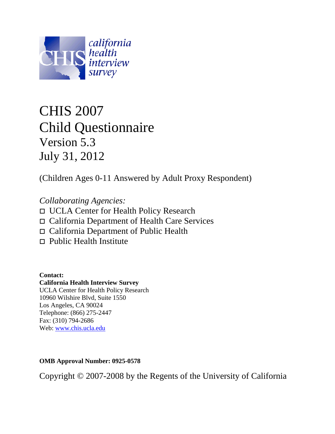

# CHIS 2007 Child Questionnaire Version 5.3 July 31, 2012

(Children Ages 0-11 Answered by Adult Proxy Respondent)

*Collaborating Agencies:* UCLA Center for Health Policy Research California Department of Health Care Services California Department of Public Health

 $\Box$  Public Health Institute

**Contact: California Health Interview Survey** UCLA Center for Health Policy Research 10960 Wilshire Blvd, Suite 1550 Los Angeles, CA 90024 Telephone: (866) 275-2447

Fax: (310) 794-2686 Web: [www.chis.ucla.edu](http://www.chis.ucla.edu/)

**OMB Approval Number: 0925-0578**

Copyright © 2007-2008 by the Regents of the University of California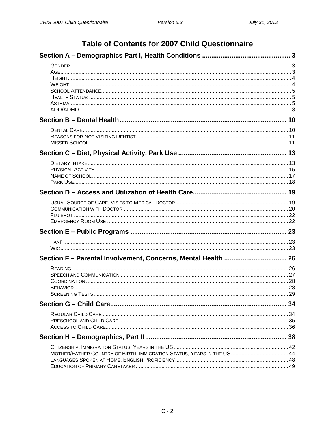# Table of Contents for 2007 Child Questionnaire

| Section F - Parental Involvement, Concerns, Mental Health  26          |    |
|------------------------------------------------------------------------|----|
|                                                                        |    |
|                                                                        |    |
|                                                                        |    |
|                                                                        |    |
|                                                                        |    |
|                                                                        | 34 |
|                                                                        |    |
|                                                                        |    |
|                                                                        |    |
|                                                                        |    |
|                                                                        |    |
|                                                                        |    |
| MOTHER/FATHER COUNTRY OF BIRTH, IMMIGRATION STATUS, YEARS IN THE US 44 |    |
|                                                                        |    |
|                                                                        |    |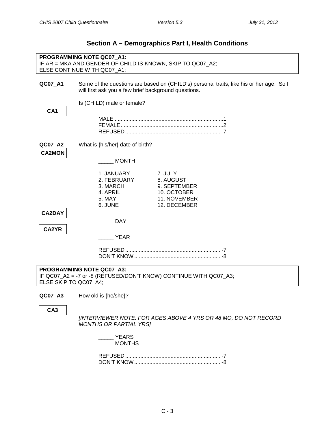<span id="page-2-2"></span><span id="page-2-1"></span><span id="page-2-0"></span>

|                          | PROGRAMMING NOTE QC07_A1:<br>IF AR = MKA AND GENDER OF CHILD IS KNOWN, SKIP TO QC07_A2;<br>ELSE CONTINUE WITH QC07_A1; |                                                                                         |
|--------------------------|------------------------------------------------------------------------------------------------------------------------|-----------------------------------------------------------------------------------------|
| QC07_A1                  | will first ask you a few brief background questions.                                                                   | Some of the questions are based on (CHILD's) personal traits, like his or her age. So I |
| CA <sub>1</sub>          | Is (CHILD) male or female?                                                                                             |                                                                                         |
|                          |                                                                                                                        |                                                                                         |
| QC07_A2<br><b>CA2MON</b> | What is {his/her} date of birth?                                                                                       |                                                                                         |
| <b>CA2DAY</b><br>CA2YR   | <b>MONTH</b><br>1. JANUARY<br>2. FEBRUARY<br>3. MARCH<br>4. APRIL<br>5. MAY<br>6. JUNE<br><b>DAY</b>                   | 7. JULY<br>8. AUGUST<br>9. SEPTEMBER<br>10. OCTOBER<br>11. NOVEMBER<br>12. DECEMBER     |
|                          | <b>YEAR</b>                                                                                                            |                                                                                         |
| ELSE SKIP TO QC07_A4;    | PROGRAMMING NOTE QC07 A3:<br>IF QC07_A2 = -7 or -8 (REFUSED/DON'T KNOW) CONTINUE WITH QC07_A3;                         |                                                                                         |
| QC07_A3                  | How old is {he/she}?                                                                                                   |                                                                                         |
| CA <sub>3</sub>          | <b>MONTHS OR PARTIAL YRSI</b>                                                                                          | [INTERVIEWER NOTE: FOR AGES ABOVE 4 YRS OR 48 MO, DO NOT RECORD                         |

## **Section A – Demographics Part I, Health Conditions**

| YEARS         |
|---------------|
| <b>MONTHS</b> |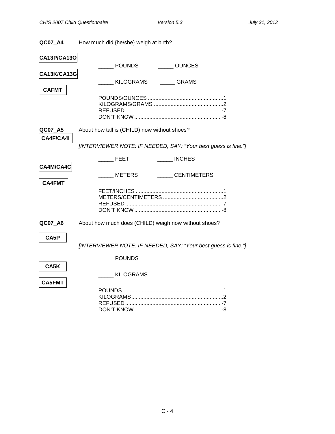| QC07 A4 | How much did {he/she} weigh at birth? |
|---------|---------------------------------------|
|---------|---------------------------------------|

<span id="page-3-1"></span><span id="page-3-0"></span>

| CA13P/CA13O        |                                                                |
|--------------------|----------------------------------------------------------------|
|                    | <b>POUNDS</b><br><b>OUNCES</b>                                 |
| <b>CA13K/CA13G</b> |                                                                |
|                    | KILOGRAMS<br><b>GRAMS</b>                                      |
| <b>CAFMT</b>       |                                                                |
|                    |                                                                |
|                    |                                                                |
|                    |                                                                |
| QC07_A5            | About how tall is (CHILD) now without shoes?                   |
| CA4F/CA4I          |                                                                |
|                    | [INTERVIEWER NOTE: IF NEEDED, SAY: "Your best guess is fine."] |
|                    |                                                                |
|                    | <b>INCHES</b><br><b>FEET</b>                                   |
| CA4M/CA4C          |                                                                |
|                    | <b>METERS</b><br>_____CENTIMETERS                              |
| <b>CA4FMT</b>      |                                                                |
|                    |                                                                |
|                    |                                                                |
|                    |                                                                |
| QC07 A6            | About how much does (CHILD) weigh now without shoes?           |
|                    |                                                                |
| CA5P               |                                                                |
|                    | [INTERVIEWER NOTE: IF NEEDED, SAY: "Your best guess is fine."] |
|                    | <b>POUNDS</b>                                                  |
| CA5K               |                                                                |
|                    | KILOGRAMS                                                      |
| <b>CA5FMT</b>      |                                                                |
|                    |                                                                |
|                    |                                                                |
|                    |                                                                |
|                    |                                                                |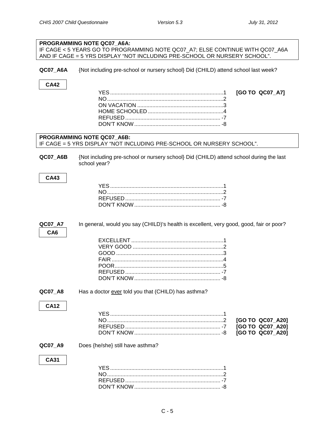<span id="page-4-2"></span><span id="page-4-1"></span><span id="page-4-0"></span>

| PROGRAMMING NOTE QC07_A6A:                                                                          |                                                                                                                                                            |  |  |
|-----------------------------------------------------------------------------------------------------|------------------------------------------------------------------------------------------------------------------------------------------------------------|--|--|
|                                                                                                     | IF CAGE < 5 YEARS GO TO PROGRAMMING NOTE QC07_A7; ELSE CONTINUE WITH QC07_A6A<br>AND IF CAGE = 5 YRS DISPLAY "NOT INCLUDING PRE-SCHOOL OR NURSERY SCHOOL". |  |  |
|                                                                                                     |                                                                                                                                                            |  |  |
| QC07_A6A                                                                                            | {Not including pre-school or nursery school} Did (CHILD) attend school last week?                                                                          |  |  |
| <b>CA42</b>                                                                                         |                                                                                                                                                            |  |  |
|                                                                                                     | [GO TO QC07_A7]                                                                                                                                            |  |  |
|                                                                                                     |                                                                                                                                                            |  |  |
|                                                                                                     |                                                                                                                                                            |  |  |
|                                                                                                     |                                                                                                                                                            |  |  |
|                                                                                                     |                                                                                                                                                            |  |  |
|                                                                                                     |                                                                                                                                                            |  |  |
| PROGRAMMING NOTE QC07_A6B:<br>IF CAGE = 5 YRS DISPLAY "NOT INCLUDING PRE-SCHOOL OR NURSERY SCHOOL". |                                                                                                                                                            |  |  |
|                                                                                                     |                                                                                                                                                            |  |  |
| QC07_A6B                                                                                            | {Not including pre-school or nursery school} Did (CHILD) attend school during the last<br>school year?                                                     |  |  |
|                                                                                                     |                                                                                                                                                            |  |  |
| <b>CA43</b>                                                                                         |                                                                                                                                                            |  |  |
|                                                                                                     |                                                                                                                                                            |  |  |
|                                                                                                     |                                                                                                                                                            |  |  |
|                                                                                                     |                                                                                                                                                            |  |  |
|                                                                                                     |                                                                                                                                                            |  |  |
|                                                                                                     |                                                                                                                                                            |  |  |
|                                                                                                     |                                                                                                                                                            |  |  |
| QC07_A7                                                                                             | In general, would you say (CHILD)'s health is excellent, very good, good, fair or poor?                                                                    |  |  |
| CA <sub>6</sub>                                                                                     |                                                                                                                                                            |  |  |
|                                                                                                     |                                                                                                                                                            |  |  |
|                                                                                                     |                                                                                                                                                            |  |  |
|                                                                                                     |                                                                                                                                                            |  |  |
|                                                                                                     |                                                                                                                                                            |  |  |
|                                                                                                     |                                                                                                                                                            |  |  |
|                                                                                                     |                                                                                                                                                            |  |  |
|                                                                                                     |                                                                                                                                                            |  |  |
| QC07_A8                                                                                             | Has a doctor ever told you that (CHILD) has asthma?                                                                                                        |  |  |
|                                                                                                     |                                                                                                                                                            |  |  |
| <b>CA12</b>                                                                                         |                                                                                                                                                            |  |  |
|                                                                                                     |                                                                                                                                                            |  |  |
|                                                                                                     | [GO TO QC07_A20]                                                                                                                                           |  |  |
|                                                                                                     | [GO TO QC07_A20]                                                                                                                                           |  |  |
|                                                                                                     | [GO TO QC07_A20]                                                                                                                                           |  |  |
| QC07_A9                                                                                             | Does {he/she} still have asthma?                                                                                                                           |  |  |
| <b>CA31</b>                                                                                         |                                                                                                                                                            |  |  |
|                                                                                                     |                                                                                                                                                            |  |  |
|                                                                                                     |                                                                                                                                                            |  |  |
|                                                                                                     |                                                                                                                                                            |  |  |
|                                                                                                     |                                                                                                                                                            |  |  |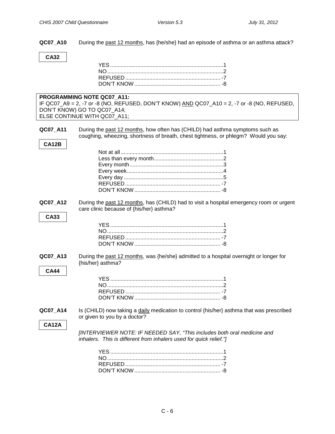**QC07\_A10** During the past 12 months, has {he/she} had an episode of asthma or an asthma attack?

## **CA32**

|              | PROGRAMMING NOTE QC07 A11:                                                                                |
|--------------|-----------------------------------------------------------------------------------------------------------|
|              | IF QC07_A9 = 2, -7 or -8 (NO, REFUSED, DON'T KNOW) $\underline{AND}$ QC07_A10 = 2, -7 or -8 (NO, REFUSED, |
|              | DON'T KNOW) GO TO QC07_A14;                                                                               |
|              | ELSE CONTINUE WITH QC07_A11;                                                                              |
|              |                                                                                                           |
| QC07_A11     | During the past 12 months, how often has (CHILD) had asthma symptoms such as                              |
|              | coughing, wheezing, shortness of breath, chest tightness, or phlegm? Would you say:                       |
| CA12B        |                                                                                                           |
|              |                                                                                                           |
|              |                                                                                                           |
|              |                                                                                                           |
|              |                                                                                                           |
|              |                                                                                                           |
|              |                                                                                                           |
|              |                                                                                                           |
|              |                                                                                                           |
|              |                                                                                                           |
| QC07_A12     | During the past 12 months, has (CHILD) had to visit a hospital emergency room or urgent                   |
|              | care clinic because of {his/her} asthma?                                                                  |
|              |                                                                                                           |
| <b>CA33</b>  |                                                                                                           |
|              |                                                                                                           |
|              |                                                                                                           |
|              |                                                                                                           |
|              |                                                                                                           |
|              |                                                                                                           |
| QC07_A13     | During the past 12 months, was {he/she} admitted to a hospital overnight or longer for                    |
|              | {his/her} asthma?                                                                                         |
| <b>CA44</b>  |                                                                                                           |
|              |                                                                                                           |
|              |                                                                                                           |
|              |                                                                                                           |
|              |                                                                                                           |
|              |                                                                                                           |
|              |                                                                                                           |
| QC07_A14     | Is (CHILD) now taking a daily medication to control {his/her} asthma that was prescribed                  |
|              | or given to you by a doctor?                                                                              |
| <b>CA12A</b> |                                                                                                           |
|              | [INTERVIEWER NOTE: IF NEEDED SAY, "This includes both oral medicine and                                   |
|              |                                                                                                           |
|              | inhalers. This is different from inhalers used for quick relief."]                                        |
|              |                                                                                                           |
|              |                                                                                                           |
|              |                                                                                                           |
|              |                                                                                                           |

DON'T KNOW......................................................... -8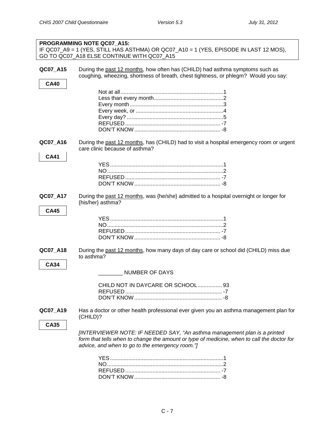| PROGRAMMING NOTE QC07_A15:<br>IF QC07_A9 = 1 (YES, STILL HAS ASTHMA) OR QC07_A10 = 1 (YES, EPISODE IN LAST 12 MOS), |                                                                                                                                                                                                                            |  |  |
|---------------------------------------------------------------------------------------------------------------------|----------------------------------------------------------------------------------------------------------------------------------------------------------------------------------------------------------------------------|--|--|
| GO TO QC07_A18 ELSE CONTINUE WITH QC07_A15                                                                          |                                                                                                                                                                                                                            |  |  |
| QC07_A15                                                                                                            | During the past 12 months, how often has (CHILD) had asthma symptoms such as<br>coughing, wheezing, shortness of breath, chest tightness, or phlegm? Would you say:                                                        |  |  |
| <b>CA40</b>                                                                                                         |                                                                                                                                                                                                                            |  |  |
|                                                                                                                     |                                                                                                                                                                                                                            |  |  |
|                                                                                                                     |                                                                                                                                                                                                                            |  |  |
|                                                                                                                     |                                                                                                                                                                                                                            |  |  |
|                                                                                                                     |                                                                                                                                                                                                                            |  |  |
|                                                                                                                     |                                                                                                                                                                                                                            |  |  |
|                                                                                                                     |                                                                                                                                                                                                                            |  |  |
| QC07_A16                                                                                                            | During the past 12 months, has (CHILD) had to visit a hospital emergency room or urgent<br>care clinic because of asthma?                                                                                                  |  |  |
| <b>CA41</b>                                                                                                         |                                                                                                                                                                                                                            |  |  |
|                                                                                                                     |                                                                                                                                                                                                                            |  |  |
|                                                                                                                     |                                                                                                                                                                                                                            |  |  |
|                                                                                                                     |                                                                                                                                                                                                                            |  |  |
| QC07_A17                                                                                                            | During the past 12 months, was {he/she} admitted to a hospital overnight or longer for<br>{his/her} asthma?                                                                                                                |  |  |
| <b>CA45</b>                                                                                                         |                                                                                                                                                                                                                            |  |  |
|                                                                                                                     |                                                                                                                                                                                                                            |  |  |
|                                                                                                                     |                                                                                                                                                                                                                            |  |  |
|                                                                                                                     |                                                                                                                                                                                                                            |  |  |
|                                                                                                                     |                                                                                                                                                                                                                            |  |  |
| QC07_A18                                                                                                            | During the past 12 months, how many days of day care or school did (CHILD) miss due<br>to asthma?                                                                                                                          |  |  |
| <b>CA34</b>                                                                                                         |                                                                                                                                                                                                                            |  |  |
|                                                                                                                     | <b>NUMBER OF DAYS</b>                                                                                                                                                                                                      |  |  |
|                                                                                                                     | CHILD NOT IN DAYCARE OR SCHOOL 93                                                                                                                                                                                          |  |  |
|                                                                                                                     |                                                                                                                                                                                                                            |  |  |
|                                                                                                                     |                                                                                                                                                                                                                            |  |  |
| QC07_A19                                                                                                            | Has a doctor or other health professional ever given you an asthma management plan for<br>(CHILD)?                                                                                                                         |  |  |
| <b>CA35</b>                                                                                                         |                                                                                                                                                                                                                            |  |  |
|                                                                                                                     | [INTERVIEWER NOTE: IF NEEDED SAY, "An asthma management plan is a printed<br>form that tells when to change the amount or type of medicine, when to call the doctor for<br>advice, and when to go to the emergency room."] |  |  |
|                                                                                                                     |                                                                                                                                                                                                                            |  |  |
|                                                                                                                     |                                                                                                                                                                                                                            |  |  |
|                                                                                                                     |                                                                                                                                                                                                                            |  |  |
|                                                                                                                     |                                                                                                                                                                                                                            |  |  |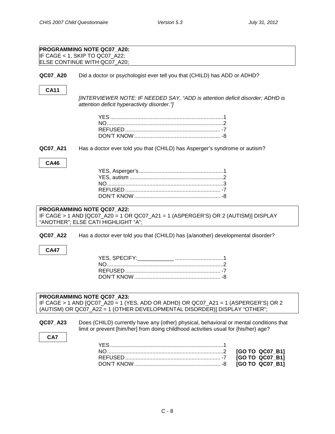<span id="page-7-0"></span>

| PROGRAMMING NOTE QC07_A20:<br>IF CAGE < 1, SKIP TO QC07_A22;<br>ELSE CONTINUE WITH QC07_A20;<br>Did a doctor or psychologist ever tell you that (CHILD) has ADD or ADHD?<br>QC07_A20<br><b>CA11</b><br>[INTERVIEWER NOTE: IF NEEDED SAY, "ADD is attention deficit disorder; ADHD is |  |  |
|--------------------------------------------------------------------------------------------------------------------------------------------------------------------------------------------------------------------------------------------------------------------------------------|--|--|
|                                                                                                                                                                                                                                                                                      |  |  |
|                                                                                                                                                                                                                                                                                      |  |  |
|                                                                                                                                                                                                                                                                                      |  |  |
|                                                                                                                                                                                                                                                                                      |  |  |
|                                                                                                                                                                                                                                                                                      |  |  |
|                                                                                                                                                                                                                                                                                      |  |  |
|                                                                                                                                                                                                                                                                                      |  |  |
|                                                                                                                                                                                                                                                                                      |  |  |
|                                                                                                                                                                                                                                                                                      |  |  |
|                                                                                                                                                                                                                                                                                      |  |  |
| attention deficit hyperactivity disorder."]                                                                                                                                                                                                                                          |  |  |
|                                                                                                                                                                                                                                                                                      |  |  |
|                                                                                                                                                                                                                                                                                      |  |  |
|                                                                                                                                                                                                                                                                                      |  |  |
|                                                                                                                                                                                                                                                                                      |  |  |
|                                                                                                                                                                                                                                                                                      |  |  |
|                                                                                                                                                                                                                                                                                      |  |  |
|                                                                                                                                                                                                                                                                                      |  |  |
| Has a doctor ever told you that (CHILD) has Asperger's syndrome or autism?<br>QC07_A21                                                                                                                                                                                               |  |  |
|                                                                                                                                                                                                                                                                                      |  |  |
|                                                                                                                                                                                                                                                                                      |  |  |
| <b>CA46</b>                                                                                                                                                                                                                                                                          |  |  |
|                                                                                                                                                                                                                                                                                      |  |  |
|                                                                                                                                                                                                                                                                                      |  |  |
|                                                                                                                                                                                                                                                                                      |  |  |
|                                                                                                                                                                                                                                                                                      |  |  |
|                                                                                                                                                                                                                                                                                      |  |  |
|                                                                                                                                                                                                                                                                                      |  |  |
|                                                                                                                                                                                                                                                                                      |  |  |
|                                                                                                                                                                                                                                                                                      |  |  |
|                                                                                                                                                                                                                                                                                      |  |  |
| PROGRAMMING NOTE QC07_A22:                                                                                                                                                                                                                                                           |  |  |
| IF CAGE > 1 AND [QC07_A20 = 1 OR QC07_A21 = 1 (ASPERGER'S) OR 2 (AUTISM)] DISPLAY                                                                                                                                                                                                    |  |  |
| "ANOTHER"; ELSE CATI HIGHLIGHT "A";                                                                                                                                                                                                                                                  |  |  |
|                                                                                                                                                                                                                                                                                      |  |  |
|                                                                                                                                                                                                                                                                                      |  |  |
| QC07_A22<br>Has a doctor ever told you that (CHILD) has {a/another} developmental disorder?                                                                                                                                                                                          |  |  |
|                                                                                                                                                                                                                                                                                      |  |  |
| <b>CA47</b>                                                                                                                                                                                                                                                                          |  |  |
|                                                                                                                                                                                                                                                                                      |  |  |
|                                                                                                                                                                                                                                                                                      |  |  |
|                                                                                                                                                                                                                                                                                      |  |  |
|                                                                                                                                                                                                                                                                                      |  |  |
|                                                                                                                                                                                                                                                                                      |  |  |
|                                                                                                                                                                                                                                                                                      |  |  |
|                                                                                                                                                                                                                                                                                      |  |  |
|                                                                                                                                                                                                                                                                                      |  |  |
| PROGRAMMING NOTE QC07_A23:                                                                                                                                                                                                                                                           |  |  |
| IF CAGE > 1 AND [QC07_A20 = 1 (YES, ADD OR ADHD) OR QC07_A21 = 1 (ASPERGER'S) OR 2                                                                                                                                                                                                   |  |  |
| (AUTISM) OR QC07_A22 = 1 (OTHER DEVELOPMENTAL DISORDER)] DISPLAY "OTHER";                                                                                                                                                                                                            |  |  |
|                                                                                                                                                                                                                                                                                      |  |  |
| QC07 A23<br>Does (CHILD) currently have any {other} physical, behavioral or mental conditions that                                                                                                                                                                                   |  |  |
|                                                                                                                                                                                                                                                                                      |  |  |
| limit or prevent [him/her] from doing childhood activities usual for {his/her} age?                                                                                                                                                                                                  |  |  |
| CA7                                                                                                                                                                                                                                                                                  |  |  |
|                                                                                                                                                                                                                                                                                      |  |  |
|                                                                                                                                                                                                                                                                                      |  |  |
| [GO TO QC07_B1]                                                                                                                                                                                                                                                                      |  |  |
| [GO TO QC07_B1]<br>[GO TO QC07_B1]                                                                                                                                                                                                                                                   |  |  |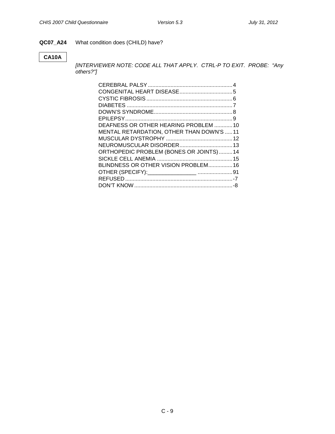#### **QC07\_A24** What condition does (CHILD) have?

#### **CA10A**

*[INTERVIEWER NOTE: CODE ALL THAT APPLY. CTRL-P TO EXIT. PROBE: "Any others?"]*

| DEAFNESS OR OTHER HEARING PROBLEM 10     |  |
|------------------------------------------|--|
| MENTAL RETARDATION, OTHER THAN DOWN'S 11 |  |
|                                          |  |
|                                          |  |
| ORTHOPEDIC PROBLEM (BONES OR JOINTS) 14  |  |
|                                          |  |
| BLINDNESS OR OTHER VISION PROBLEM 16     |  |
|                                          |  |
|                                          |  |
|                                          |  |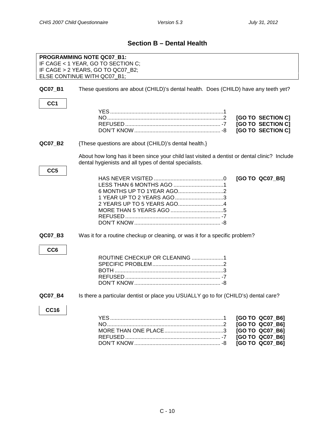## **Section B – Dental Health**

<span id="page-9-1"></span><span id="page-9-0"></span>

|                            | PROGRAMMING NOTE QC07_B1:<br>IF CAGE < 1 YEAR, GO TO SECTION C;<br>IF CAGE > 2 YEARS, GO TO QC07_B2;                                                   |                   |
|----------------------------|--------------------------------------------------------------------------------------------------------------------------------------------------------|-------------------|
|                            | ELSE CONTINUE WITH QC07_B1;                                                                                                                            |                   |
| QC07_B1<br>CC <sub>1</sub> | These questions are about (CHILD)'s dental health. Does (CHILD) have any teeth yet?                                                                    |                   |
|                            |                                                                                                                                                        |                   |
|                            |                                                                                                                                                        |                   |
|                            |                                                                                                                                                        | [GO TO SECTION C] |
|                            |                                                                                                                                                        | [GO TO SECTION C] |
|                            |                                                                                                                                                        | [GO TO SECTION C] |
|                            |                                                                                                                                                        |                   |
| QC07_B2                    | {These questions are about (CHILD)'s dental health.}                                                                                                   |                   |
|                            | About how long has it been since your child last visited a dentist or dental clinic? Include<br>dental hygienists and all types of dental specialists. |                   |
| CC <sub>5</sub>            |                                                                                                                                                        |                   |
|                            |                                                                                                                                                        |                   |
|                            |                                                                                                                                                        | [GO TO QC07_B5]   |
|                            |                                                                                                                                                        |                   |
|                            |                                                                                                                                                        |                   |
|                            |                                                                                                                                                        |                   |
|                            | 1 YEAR UP TO 2 YEARS AGO3                                                                                                                              |                   |
|                            |                                                                                                                                                        |                   |
|                            |                                                                                                                                                        |                   |
|                            |                                                                                                                                                        |                   |
|                            |                                                                                                                                                        |                   |
|                            |                                                                                                                                                        |                   |
| QC07_B3                    | Was it for a routine checkup or cleaning, or was it for a specific problem?                                                                            |                   |
|                            |                                                                                                                                                        |                   |
| CC <sub>6</sub>            |                                                                                                                                                        |                   |
|                            |                                                                                                                                                        |                   |
|                            | ROUTINE CHECKUP OR CLEANING 1                                                                                                                          |                   |
|                            |                                                                                                                                                        |                   |
|                            |                                                                                                                                                        |                   |
|                            |                                                                                                                                                        |                   |
|                            |                                                                                                                                                        |                   |
|                            |                                                                                                                                                        |                   |
|                            |                                                                                                                                                        |                   |
| QC07 B4                    | Is there a particular dentist or place you USUALLY go to for (CHILD's) dental care?                                                                    |                   |
| <b>CC16</b>                |                                                                                                                                                        |                   |
|                            |                                                                                                                                                        |                   |
|                            |                                                                                                                                                        | [GO TO QC07_B6]   |
|                            |                                                                                                                                                        | [GO TO QC07_B6]   |
|                            |                                                                                                                                                        | [GO TO QC07_B6]   |
|                            |                                                                                                                                                        |                   |
|                            |                                                                                                                                                        | [GO TO QC07_B6]   |
|                            |                                                                                                                                                        | [GO TO QC07_B6]   |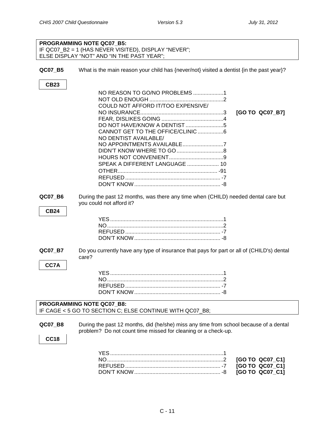<span id="page-10-1"></span><span id="page-10-0"></span>

|                | <b>PROGRAMMING NOTE QC07 B5:</b>                                                          |                 |
|----------------|-------------------------------------------------------------------------------------------|-----------------|
|                | IF QC07_B2 = 1 (HAS NEVER VISITED), DISPLAY "NEVER";                                      |                 |
|                | ELSE DISPLAY "NOT" AND "IN THE PAST YEAR";                                                |                 |
|                |                                                                                           |                 |
| QC07_B5        | What is the main reason your child has {never/not} visited a dentist {in the past year}?  |                 |
|                |                                                                                           |                 |
| <b>CB23</b>    |                                                                                           |                 |
|                | NO REASON TO GO/NO PROBLEMS 1                                                             |                 |
|                |                                                                                           |                 |
|                | COULD NOT AFFORD IT/TOO EXPENSIVE/                                                        |                 |
|                |                                                                                           | [GO TO QC07_B7] |
|                |                                                                                           |                 |
|                |                                                                                           |                 |
|                |                                                                                           |                 |
|                | NO DENTIST AVAILABLE/                                                                     |                 |
|                | NO APPOINTMENTS AVAILABLE7                                                                |                 |
|                |                                                                                           |                 |
|                |                                                                                           |                 |
|                | SPEAK A DIFFERENT LANGUAGE  10                                                            |                 |
|                |                                                                                           |                 |
|                |                                                                                           |                 |
|                |                                                                                           |                 |
|                |                                                                                           |                 |
| <b>QC07 B6</b> | During the past 12 months, was there any time when (CHILD) needed dental care but         |                 |
|                | you could not afford it?                                                                  |                 |
| <b>CB24</b>    |                                                                                           |                 |
|                |                                                                                           |                 |
|                |                                                                                           |                 |
|                |                                                                                           |                 |
|                |                                                                                           |                 |
|                |                                                                                           |                 |
| QC07_B7        | Do you currently have any type of insurance that pays for part or all of (CHILD's) dental |                 |
|                | care?                                                                                     |                 |
|                |                                                                                           |                 |
| CC7A           |                                                                                           |                 |
|                |                                                                                           |                 |
|                |                                                                                           |                 |
|                |                                                                                           |                 |
|                |                                                                                           |                 |
|                | <b>PROGRAMMING NOTE QC07 B8:</b>                                                          |                 |
|                | IF CAGE < 5 GO TO SECTION C; ELSE CONTINUE WITH QC07_B8;                                  |                 |
|                |                                                                                           |                 |
| QC07_B8        | During the past 12 months, did (he/she) miss any time from school because of a dental     |                 |
|                | problem? Do not count time missed for cleaning or a check-up.                             |                 |
| <b>CC18</b>    |                                                                                           |                 |
|                |                                                                                           |                 |
|                |                                                                                           |                 |
|                |                                                                                           | [GO TO QC07_C1] |
|                |                                                                                           | [GO TO QC07_C1] |
|                |                                                                                           | [GO TO QC07_C1] |
|                |                                                                                           |                 |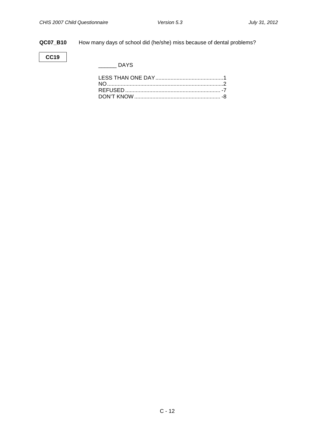**QC07\_B10** How many days of school did (he/she) miss because of dental problems?

**CC19**

 $\rule{1em}{0.15mm}$  DAYS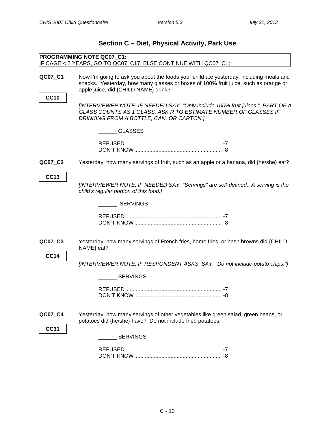<span id="page-12-1"></span><span id="page-12-0"></span>

| Section C – Diet, Physical Activity, Park Use |                                                                                                                                                                                                                       |  |
|-----------------------------------------------|-----------------------------------------------------------------------------------------------------------------------------------------------------------------------------------------------------------------------|--|
|                                               | PROGRAMMING NOTE QC07 C1:<br>IF CAGE < 2 YEARS, GO TO QC07_C17, ELSE CONTINUE WITH QC07_C1;                                                                                                                           |  |
| QC07_C1                                       | Now I'm going to ask you about the foods your child ate yesterday, including meals and<br>snacks. Yesterday, how many glasses or boxes of 100% fruit juice, such as orange or<br>apple juice, did {CHILD NAME} drink? |  |
| <b>CC10</b>                                   | [INTERVIEWER NOTE: IF NEEDED SAY, "Only include 100% fruit juices." PART OF A<br>GLASS COUNTS AS 1 GLASS, ASK R TO ESTIMATE NUMBER OF GLASSES IF<br>DRINKING FROM A BOTTLE, CAN, OR CARTON.]                          |  |
|                                               | GLASSES                                                                                                                                                                                                               |  |
| QC07_C2                                       | Yesterday, how many servings of fruit, such as an apple or a banana, did {he/she} eat?                                                                                                                                |  |
| <b>CC13</b>                                   | [INTERVIEWER NOTE: IF NEEDED SAY, "Servings" are self-defined. A serving is the<br>child's regular portion of this food.]                                                                                             |  |
|                                               | <b>SERVINGS</b>                                                                                                                                                                                                       |  |
|                                               |                                                                                                                                                                                                                       |  |
| QC07_C3<br><b>CC14</b>                        | Yesterday, how many servings of French fries, home fries, or hash browns did {CHILD<br>NAME} eat?                                                                                                                     |  |
|                                               | [INTERVIEWER NOTE: IF RESPONDENT ASKS, SAY: "Do not include potato chips."]                                                                                                                                           |  |
|                                               | <b>SERVINGS</b>                                                                                                                                                                                                       |  |
|                                               |                                                                                                                                                                                                                       |  |
| QC07_C4<br><b>CC31</b>                        | Yesterday, how many servings of other vegetables like green salad, green beans, or<br>potatoes did {he/she} have? Do not include fried potatoes.                                                                      |  |
|                                               | <b>SERVINGS</b>                                                                                                                                                                                                       |  |
|                                               |                                                                                                                                                                                                                       |  |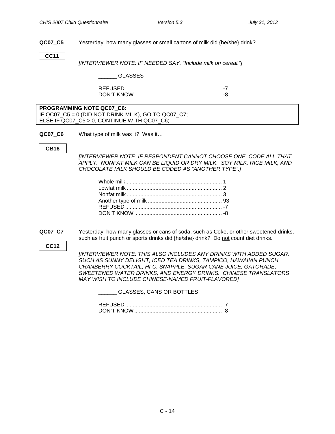**QC07\_C5** Yesterday, how many glasses or small cartons of milk did {he/she} drink?

**CC11**

*[INTERVIEWER NOTE: IF NEEDED SAY, "Include milk on cereal."]*

#### \_\_\_\_\_\_ GLASSES

REFUSED ................................................................ -7 DON'T KNOW.......................................................... -8

**PROGRAMMING NOTE QC07\_C6:** IF QC07  $C5 = 0$  (DID NOT DRINK MILK), GO TO QC07 C7; ELSE IF QC07\_C5 > 0, CONTINUE WITH QC07\_C6;

**QC07 C6** What type of milk was it? Was it…

#### **CB16**

*[INTERVIEWER NOTE: IF RESPONDENT CANNOT CHOOSE ONE, CODE ALL THAT APPLY. NONFAT MILK CAN BE LIQUID OR DRY MILK. SOY MILK, RICE MILK, AND CHOCOLATE MILK SHOULD BE CODED AS "ANOTHER TYPE".]*

**QC07\_C7** Yesterday, how many glasses or cans of soda, such as Coke, or other sweetened drinks, such as fruit punch or sports drinks did {he/she} drink? Do not count diet drinks.

**CC12**

*[INTERVIEWER NOTE: THIS ALSO INCLUDES ANY DRINKS WITH ADDED SUGAR, SUCH AS SUNNY DELIGHT, ICED TEA DRINKS, TAMPICO, HAWAIIAN PUNCH, CRANBERRY COCKTAIL, HI-C, SNAPPLE, SUGAR CANE JUICE, GATORADE, SWEETENED WATER DRINKS, AND ENERGY DRINKS. CHINESE TRANSLATORS MAY WISH TO INCLUDE CHINESE-NAMED FRUIT-FLAVORED]*

\_\_\_\_\_\_ GLASSES, CANS OR BOTTLES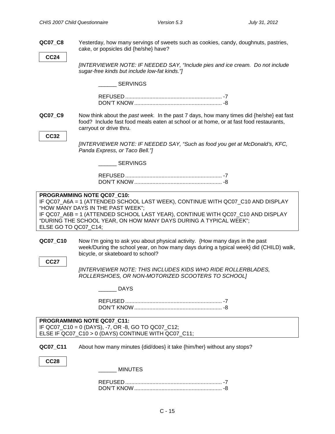<span id="page-14-0"></span>**QC07\_C8** Yesterday, how many servings of sweets such as cookies, candy, doughnuts, pastries, cake, or popsicles did {he/she} have? **CC24** *[INTERVIEWER NOTE: IF NEEDED SAY, "Include pies and ice cream. Do not include sugar-free kinds but include low-fat kinds."]* SERVINGS REFUSED ................................................................ -7 DON'T KNOW.......................................................... -8 **QC07\_C9** Now think about the *past week.* In the past 7 days, how many times did {he/she} eat fast food? Include fast food meals eaten at school or at home, or at fast food restaurants, carryout or drive thru. **CC32** *[INTERVIEWER NOTE: IF NEEDED SAY, "Such as food you get at McDonald's, KFC, Panda Express, or Taco Bell."]* SERVINGS REFUSED ................................................................ -7 DON'T KNOW.......................................................... -8 **PROGRAMMING NOTE QC07\_C10:** IF QC07\_A6A = 1 (ATTENDED SCHOOL LAST WEEK), CONTINUE WITH QC07\_C10 AND DISPLAY "HOW MANY DAYS IN THE PAST WEEK"; IF QC07\_A6B = 1 (ATTENDED SCHOOL LAST YEAR), CONTINUE WITH QC07\_C10 AND DISPLAY "DURING THE SCHOOL YEAR, ON HOW MANY DAYS DURING A TYPICAL WEEK"; ELSE GO TO QC07\_C14; **QC07\_C10** Now I'm going to ask you about physical activity. {How many days in the past week/During the school year, on how many days during a typical week} did (CHILD) walk, bicycle, or skateboard to school? **CC27** *[INTERVIEWER NOTE: THIS INCLUDES KIDS WHO RIDE ROLLERBLADES, ROLLERSHOES, OR NON-MOTORIZED SCOOTERS TO SCHOOL]* \_\_\_\_\_\_ DAYS REFUSED ................................................................ -7 DON'T KNOW.......................................................... -8 **PROGRAMMING NOTE QC07\_C11:** IF QC07\_C10 = 0 (DAYS), -7, OR -8, GO TO QC07\_C12; ELSE IF QC07 C10 > 0 (DAYS) CONTINUE WITH QC07 C11; **QC07 C11** About how many minutes {did/does} it take {him/her} without any stops? **CC28** \_\_\_\_\_\_ MINUTES REFUSED ................................................................ -7 DON'T KNOW.......................................................... -8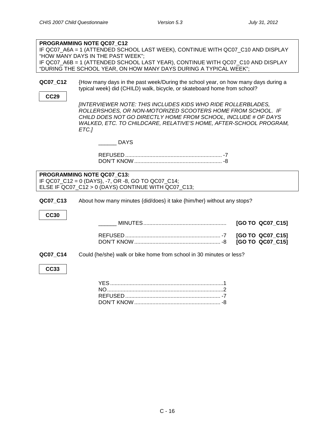| PROGRAMMING NOTE QC07_C12<br>IF QC07_A6A = 1 (ATTENDED SCHOOL LAST WEEK), CONTINUE WITH QC07_C10 AND DISPLAY<br>"HOW MANY DAYS IN THE PAST WEEK";<br>IF QC07_A6B = 1 (ATTENDED SCHOOL LAST YEAR), CONTINUE WITH QC07_C10 AND DISPLAY<br>"DURING THE SCHOOL YEAR, ON HOW MANY DAYS DURING A TYPICAL WEEK"; |                                                                                                                                                                                                                                                                                                                                                                                                                                                                    |  |  |
|-----------------------------------------------------------------------------------------------------------------------------------------------------------------------------------------------------------------------------------------------------------------------------------------------------------|--------------------------------------------------------------------------------------------------------------------------------------------------------------------------------------------------------------------------------------------------------------------------------------------------------------------------------------------------------------------------------------------------------------------------------------------------------------------|--|--|
| QC07_C12<br><b>CC29</b>                                                                                                                                                                                                                                                                                   | {How many days in the past week/During the school year, on how many days during a<br>typical week} did (CHILD) walk, bicycle, or skateboard home from school?<br><b>IINTERVIEWER NOTE: THIS INCLUDES KIDS WHO RIDE ROLLERBLADES,</b><br>ROLLERSHOES, OR NON-MOTORIZED SCOOTERS HOME FROM SCHOOL. IF<br>CHILD DOES NOT GO DIRECTLY HOME FROM SCHOOL, INCLUDE # OF DAYS<br>WALKED, ETC. TO CHILDCARE, RELATIVE'S HOME, AFTER-SCHOOL PROGRAM,<br>ETC.]<br><b>DAYS</b> |  |  |
| PROGRAMMING NOTE QC07 C13:<br>IF QC07_C12 = 0 (DAYS), -7, OR -8, GO TO QC07_C14;<br>ELSE IF QC07_C12 > 0 (DAYS) CONTINUE WITH QC07_C13;                                                                                                                                                                   |                                                                                                                                                                                                                                                                                                                                                                                                                                                                    |  |  |
| QC07_C13<br><b>CC30</b>                                                                                                                                                                                                                                                                                   | About how many minutes {did/does} it take {him/her} without any stops?                                                                                                                                                                                                                                                                                                                                                                                             |  |  |
|                                                                                                                                                                                                                                                                                                           | [GO TO QC07_C15]                                                                                                                                                                                                                                                                                                                                                                                                                                                   |  |  |
|                                                                                                                                                                                                                                                                                                           | [GO TO QC07_C15]<br>[GO TO QC07_C15]                                                                                                                                                                                                                                                                                                                                                                                                                               |  |  |
| QC07_C14                                                                                                                                                                                                                                                                                                  | Could {he/she} walk or bike home from school in 30 minutes or less?                                                                                                                                                                                                                                                                                                                                                                                                |  |  |
| <b>CC33</b>                                                                                                                                                                                                                                                                                               |                                                                                                                                                                                                                                                                                                                                                                                                                                                                    |  |  |
|                                                                                                                                                                                                                                                                                                           |                                                                                                                                                                                                                                                                                                                                                                                                                                                                    |  |  |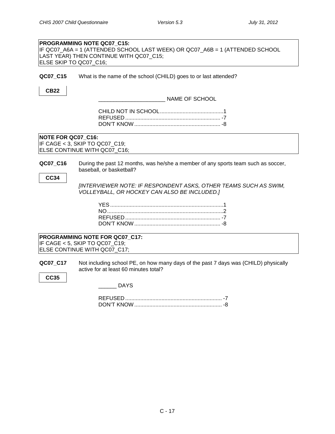<span id="page-16-0"></span>

| PROGRAMMING NOTE QC07 C15:<br>IF QC07_A6A = 1 (ATTENDED SCHOOL LAST WEEK) OR QC07_A6B = 1 (ATTENDED SCHOOL<br>LAST YEAR) THEN CONTINUE WITH QC07_C15;<br>ELSE SKIP TO QC07_C16;                                                                              |
|--------------------------------------------------------------------------------------------------------------------------------------------------------------------------------------------------------------------------------------------------------------|
| What is the name of the school (CHILD) goes to or last attended?<br>QC07_C15                                                                                                                                                                                 |
| <b>CB22</b><br>NAME OF SCHOOL                                                                                                                                                                                                                                |
|                                                                                                                                                                                                                                                              |
| NOTE FOR QC07_C16:<br>IF CAGE < 3, SKIP TO QC07_C19;<br>ELSE CONTINUE WITH QC07_C16;                                                                                                                                                                         |
| During the past 12 months, was he/she a member of any sports team such as soccer,<br>QC07_C16<br>baseball, or basketball?<br><b>CC34</b><br>[INTERVIEWER NOTE: IF RESPONDENT ASKS, OTHER TEAMS SUCH AS SWIM,<br>VOLLEYBALL, OR HOCKEY CAN ALSO BE INCLUDED.] |
|                                                                                                                                                                                                                                                              |
| PROGRAMMING NOTE FOR QC07 C17:<br>IF CAGE < 5, SKIP TO QC07_C19;<br>ELSE CONTINUE WITH QC07 C17;                                                                                                                                                             |
| Not including school PE, on how many days of the past 7 days was (CHILD) physically<br>QC07_C17<br>active for at least 60 minutes total?<br><b>CC35</b>                                                                                                      |
| <b>DAYS</b>                                                                                                                                                                                                                                                  |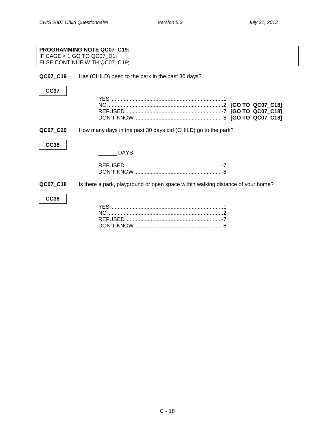<span id="page-17-0"></span>

|             | PROGRAMMING NOTE QC07 C19:<br>IF CAGE < 1 GO TO QC07_D1;                        |
|-------------|---------------------------------------------------------------------------------|
|             | ELSE CONTINUE WITH QC07 C19;                                                    |
| QC07_C19    | Has (CHILD) been to the park in the past 30 days?                               |
| <b>CC37</b> |                                                                                 |
|             |                                                                                 |
|             |                                                                                 |
|             |                                                                                 |
|             |                                                                                 |
| QC07_C20    | How many days in the past 30 days did (CHILD) go to the park?                   |
| <b>CC38</b> |                                                                                 |
|             | <b>DAYS</b>                                                                     |
|             |                                                                                 |
|             |                                                                                 |
| QC07_C18    | Is there a park, playground or open space within walking distance of your home? |
| <b>CC36</b> |                                                                                 |
|             |                                                                                 |
|             |                                                                                 |
|             |                                                                                 |
|             |                                                                                 |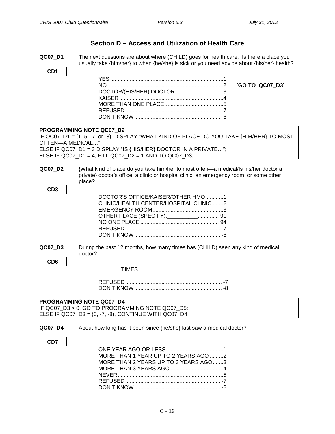#### **Section D – Access and Utilization of Health Care**

- <span id="page-18-1"></span><span id="page-18-0"></span>**QC07\_D1** The next questions are about where (CHILD) goes for health care. Is there a place you usually take {him/her} to when {he/she} is sick or you need advice about {his/her} health?
- **CD1**

| DOCTOR/(HIS/HER) DOCTOR3 |  |
|--------------------------|--|
|                          |  |
|                          |  |
|                          |  |
|                          |  |

#### **PROGRAMMING NOTE QC07\_D2**

IF QC07\_D1 = (1, 5, -7, or -8), DISPLAY "WHAT KIND OF PLACE DO YOU TAKE {HIM/HER} TO MOST OFTEN—A MEDICAL…"; ELSE IF QC07\_D1 = 3 DISPLAY "IS {HIS/HER} DOCTOR IN A PRIVATE…"; ELSE IF QC07\_D1 = 4, FILL QC07\_D2 = 1 AND TO QC07\_D3;

**QC07\_D2** {What kind of place do you take him/her to most often—a medical/Is his/her doctor a private} doctor's office, a clinic or hospital clinic, an emergency room, or some other place?

| I<br>.,<br>۰.<br>w<br>۰. |
|--------------------------|
|--------------------------|

| DOCTOR'S OFFICE/KAISER/OTHER HMO 1     |
|----------------------------------------|
| CLINIC/HEALTH CENTER/HOSPITAL CLINIC 2 |
|                                        |
| OTHER PLACE (SPECIFY): ___________ 91  |
|                                        |
|                                        |
|                                        |
|                                        |

**QC07\_D3** During the past 12 months, how many times has (CHILD) seen any kind of medical doctor?

**CD6**

\_\_\_\_\_\_\_ TIMES

| <b>PROGRAMMING NOTE QC07 D4</b>                          |
|----------------------------------------------------------|
| IF QC07 D3 > 0, GO TO PROGRAMMING NOTE QC07 D5;          |
| ELSE IF QC07_D3 = $(0, -7, -8)$ , CONTINUE WITH QC07_D4; |

#### **QC07\_D4** About how long has it been since {he/she} last saw a medical doctor?

#### **CD7**

| MORE THAN 1 YEAR UP TO 2 YEARS AGO 2 |  |
|--------------------------------------|--|
| MORE THAN 2 YEARS UP TO 3 YEARS AGO3 |  |
|                                      |  |
|                                      |  |
|                                      |  |
|                                      |  |
|                                      |  |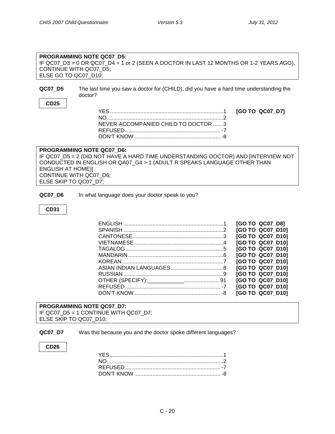<span id="page-19-0"></span>COMMUNICATION WITH DOCTOR

#### **PROGRAMMING NOTE QC07\_D5:** IF QC07\_D3 > 0 OR QC07\_D4 = 1 or 2 (SEEN A DOCTOR IN LAST 12 MONTHS OR 1-2 YEARS AGO), CONTINUE WITH QC07\_D5; ELSE GO TO QC07\_D10;

**QC07\_D5** The last time you saw a doctor for (CHILD), did you have a hard time understanding the doctor?

#### **CD25**

| NEVER ACCOMPANIED CHILD TO DOCTOR 3 |  |
|-------------------------------------|--|
|                                     |  |
|                                     |  |

#### **PROGRAMMING NOTE QC07\_D6:** IF QC07\_D5 = 2 (DID NOT HAVE A HARD TIME UNDERSTANDING DOCTOR) AND [INTERVIEW NOT CONDUCTED IN ENGLISH OR QA07\_G4 > 1 (ADULT R SPEAKS LANGUAGE OTHER THAN ENGLISH AT HOME)] CONTINUE WITH QC07\_D6; ELSE SKIP TO QC07\_D7;

**QC07\_D6** In what language does your doctor speak to you?

#### **CD31**

|  | [GO TO QC07 D8]  |
|--|------------------|
|  | [GO TO QC07 D10] |
|  | [GO TO QC07 D10] |
|  | [GO TO QC07 D10] |
|  | [GO TO QC07 D10] |
|  | [GO TO QC07 D10] |
|  | [GO TO QC07 D10] |
|  | [GO TO QC07 D10] |
|  | [GO TO QC07 D10] |
|  | [GO TO QC07 D10] |
|  | [GO TO QC07 D10] |
|  | [GO TO QC07 D10] |
|  |                  |

#### **PROGRAMMING NOTE QC07\_D7:**

IF QC07\_D5 = 1 CONTINUE WITH QC07\_D7; ELSE SKIP TO QC07\_D10;

**QC07 D7** Was this because you and the doctor spoke different languages?

#### **CD26**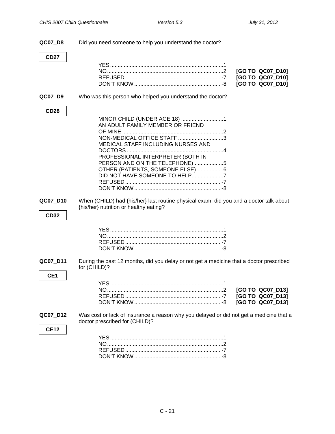| QC07_D8                     | Did you need someone to help you understand the doctor?                                                                                                                                                                                                                         |                                                          |
|-----------------------------|---------------------------------------------------------------------------------------------------------------------------------------------------------------------------------------------------------------------------------------------------------------------------------|----------------------------------------------------------|
| <b>CD27</b>                 |                                                                                                                                                                                                                                                                                 | [GO TO QC07_D10]<br>[GO TO QC07_D10]<br>[GO TO QC07_D10] |
| QC07_D9                     | Who was this person who helped you understand the doctor?                                                                                                                                                                                                                       |                                                          |
| <b>CD28</b>                 | MINOR CHILD (UNDER AGE 18) 1<br>AN ADULT FAMILY MEMBER OR FRIEND<br>NON-MEDICAL OFFICE STAFF 3<br>MEDICAL STAFF INCLUDING NURSES AND<br>PROFESSIONAL INTERPRETER (BOTH IN<br>PERSON AND ON THE TELEPHONE) 5<br>OTHER (PATIENTS, SOMEONE ELSE)6<br>DID NOT HAVE SOMEONE TO HELP7 |                                                          |
| QC07_D10<br><b>CD32</b>     | When (CHILD) had {his/her} last routine physical exam, did you and a doctor talk about<br>{his/her} nutrition or healthy eating?                                                                                                                                                |                                                          |
|                             |                                                                                                                                                                                                                                                                                 |                                                          |
| QC07_D11<br>CE <sub>1</sub> | During the past 12 months, did you delay or not get a medicine that a doctor prescribed<br>for (CHILD)?                                                                                                                                                                         |                                                          |
|                             | <b>VES</b>                                                                                                                                                                                                                                                                      | [GO TO QC07_D13]<br>[GO TO QC07_D13]<br>[GO TO QC07_D13] |
| QC07_D12                    | Was cost or lack of insurance a reason why you delayed or did not get a medicine that a<br>doctor prescribed for (CHILD)?                                                                                                                                                       |                                                          |
| <b>CE12</b>                 |                                                                                                                                                                                                                                                                                 |                                                          |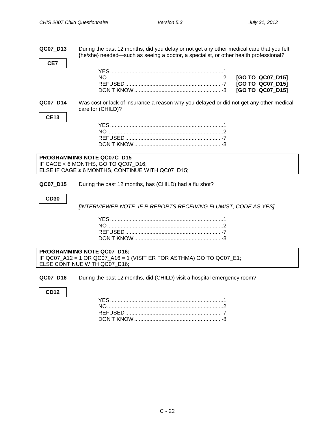**QC07\_D13** During the past 12 months, did you delay or not get any other medical care that you felt {he/she} needed—such as seeing a doctor, a specialist, or other health professional?

**QC07\_D14** Was cost or lack of insurance a reason why you delayed or did not get any other medical care for (CHILD)?

#### **PROGRAMMING NOTE QC07C\_D15** IF CAGE < 6 MONTHS, GO TO QC07\_D16; ELSE IF CAGE ≥ 6 MONTHS, CONTINUE WITH QC07\_D15;

<span id="page-21-0"></span>**QC07\_D15** During the past 12 months, has (CHILD) had a flu shot?

#### **CD30**

**CE7**

**CE13**

*[INTERVIEWER NOTE: IF R REPORTS RECEIVING FLUMIST, CODE AS YES]*

**PROGRAMMING NOTE QC07\_D16;** IF QC07\_A12 = 1 OR QC07\_A16 = 1 (VISIT ER FOR ASTHMA) GO TO QC07\_E1; ELSE CONTINUE WITH QC07\_D16;

<span id="page-21-1"></span>**QC07\_D16** During the past 12 months, did (CHILD) visit a hospital emergency room?

#### **CD12**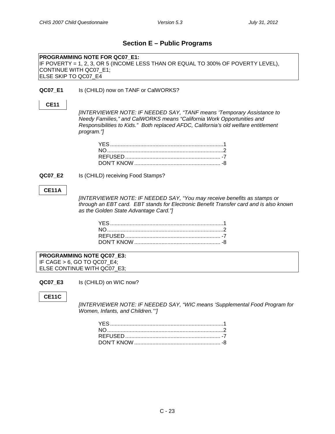#### **Section E – Public Programs**

<span id="page-22-0"></span>**PROGRAMMING NOTE FOR QC07\_E1:** IF POVERTY = 1, 2, 3, OR 5 (INCOME LESS THAN OR EQUAL TO 300% OF POVERTY LEVEL), CONTINUE WITH QC07\_E1; ELSE SKIP TO QC07\_E4

#### <span id="page-22-1"></span>**QC07\_E1** Is (CHILD) now on TANF or CalWORKS?

#### **CE11**

*[INTERVIEWER NOTE: IF NEEDED SAY, "TANF means 'Temporary Assistance to Needy Families," and CalWORKS means "California Work Opportunities and Responsibilities to Kids." Both replaced AFDC, California's old welfare entitlement program."]*

**QC07 E2** Is (CHILD) receiving Food Stamps?

#### **CE11A**

*[INTERVIEWER NOTE: IF NEEDED SAY, "You may receive benefits as stamps or through an EBT card. EBT stands for Electronic Benefit Transfer card and is also known as the Golden State Advantage Card."]*

**PROGRAMMING NOTE QC07\_E3:** IF CAGE > 6, GO TO QC07\_E4; ELSE CONTINUE WITH QC07\_E3;

<span id="page-22-2"></span>**QC07\_E3** Is (CHILD) on WIC now?

#### **CE11C**

*[INTERVIEWER NOTE: IF NEEDED SAY, "WIC means 'Supplemental Food Program for Women, Infants, and Children.''']*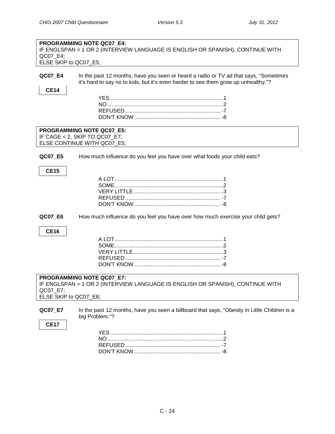| QC07_E4;<br>ELSE SKIP to QC07_E5;                | PROGRAMMING NOTE QC07 E4:<br>IF ENGLSPAN = 1 OR 2 (INTERVIEW LANGUAGE IS ENGLISH OR SPANISH), CONTINUE WITH                                                                |
|--------------------------------------------------|----------------------------------------------------------------------------------------------------------------------------------------------------------------------------|
| QC07_E4<br><b>CE14</b>                           | In the past 12 months, have you seen or heard a radio or TV ad that says, "Sometimes<br>it's hard to say no to kids, but it's even harder to see them grow up unhealthy."? |
|                                                  | <b>PROGRAMMING NOTE QC07 E5:</b><br>IF CAGE < 2, SKIP TO QC07_E7;<br>ELSE CONTINUE WITH QC07_E5;                                                                           |
| QC07_E5<br><b>CE15</b><br>QC07_E6<br><b>CE16</b> | How much influence do you feel you have over what foods your child eats?<br>How much influence do you feel you have over how much exercise your child gets?                |
|                                                  | <b>PROGRAMMING NOTE QC07 E7:</b><br>IF ENGLSPAN = 1 OR 2 (INTERVIEW LANGUAGE IS ENGLISH OR SPANISH), CONTINUE WITH                                                         |
| QC07_E7;<br>ELSE SKIP to QC07_E8;<br>QC07_E7     | In the past 12 months, have you seen a billboard that says, "Obesity in Little Children is a                                                                               |
| <b>CE17</b>                                      | big Problem."?                                                                                                                                                             |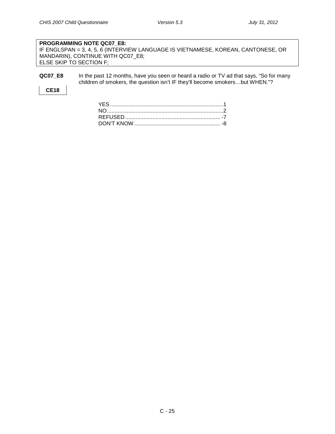#### **PROGRAMMING NOTE QC07\_E8:** IF ENGLSPAN = 3, 4, 5, 6 (INTERVIEW LANGUAGE IS VIETNAMESE, KOREAN, CANTONESE, OR MANDARIN), CONTINUE WITH QC07\_E8; ELSE SKIP TO SECTION F;

**QC07\_E8** In the past 12 months, have you seen or heard a radio or TV ad that says, "So for many children of smokers, the question isn't IF they'll become smokers…but WHEN."?

#### **CE18**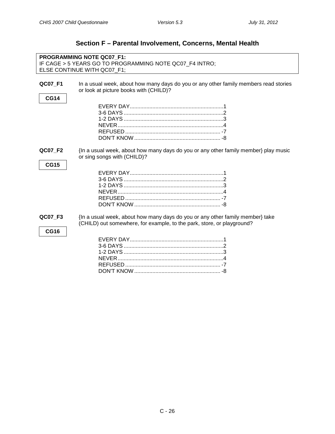<span id="page-25-1"></span><span id="page-25-0"></span>

|                        | <b>PROGRAMMING NOTE QC07 F1:</b>                                                                                                                        |
|------------------------|---------------------------------------------------------------------------------------------------------------------------------------------------------|
|                        | IF CAGE > 5 YEARS GO TO PROGRAMMING NOTE QC07_F4 INTRO;<br>ELSE CONTINUE WITH QC07_F1;                                                                  |
|                        |                                                                                                                                                         |
| QC07_F1                | In a usual week, about how many days do you or any other family members read stories                                                                    |
|                        | or look at picture books with (CHILD)?                                                                                                                  |
| <b>CG14</b>            |                                                                                                                                                         |
|                        |                                                                                                                                                         |
|                        |                                                                                                                                                         |
|                        |                                                                                                                                                         |
|                        |                                                                                                                                                         |
|                        |                                                                                                                                                         |
|                        |                                                                                                                                                         |
| QC07 F2<br><b>CG15</b> | {In a usual week, about how many days do you or any other family member} play music<br>or sing songs with (CHILD)?                                      |
|                        |                                                                                                                                                         |
|                        |                                                                                                                                                         |
|                        |                                                                                                                                                         |
|                        |                                                                                                                                                         |
|                        |                                                                                                                                                         |
|                        |                                                                                                                                                         |
| QC07 F3<br><b>CG16</b> | {In a usual week, about how many days do you or any other family member} take<br>(CHILD) out somewhere, for example, to the park, store, or playground? |
|                        |                                                                                                                                                         |
|                        |                                                                                                                                                         |
|                        |                                                                                                                                                         |
|                        |                                                                                                                                                         |
|                        |                                                                                                                                                         |
|                        |                                                                                                                                                         |

## **Section F – Parental Involvement, Concerns, Mental Health**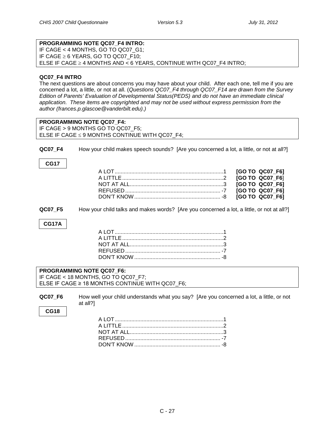### **PROGRAMMING NOTE QC07\_F4 INTRO:**

IF CAGE < 4 MONTHS, GO TO QC07\_G1; IF CAGE ≥ 6 YEARS, GO TO QC07\_F10; ELSE IF CAGE ≥ 4 MONTHS AND < 6 YEARS, CONTINUE WITH QC07\_F4 INTRO;

#### **QC07\_F4 INTRO**

The next questions are about concerns you may have about your child. After each one, tell me if you are concerned a lot, a little, or not at all. (*Questions QC07\_F4 through QC07\_F14 are drawn from the Survey Edition of Parents' Evaluation of Developmental Status(PEDS) and do not have an immediate clinical application. These items are copyrighted and may not be used without express permission from the author (frances.p.glascoe@vanderbilt.edu).)*

<span id="page-26-0"></span>

|                | <b>PROGRAMMING NOTE QC07 F4:</b><br>IF CAGE > 9 MONTHS GO TO QC07 F5;                       |                 |
|----------------|---------------------------------------------------------------------------------------------|-----------------|
|                | ELSE IF CAGE $\leq$ 9 MONTHS CONTINUE WITH QC07_F4;                                         |                 |
|                |                                                                                             |                 |
| <b>QC07 F4</b> | How your child makes speech sounds? [Are you concerned a lot, a little, or not at all?]     |                 |
| <b>CG17</b>    |                                                                                             |                 |
|                |                                                                                             | [GO TO QC07_F6] |
|                |                                                                                             | [GO TO QC07 F6] |
|                |                                                                                             | [GO TO QC07_F6] |
|                |                                                                                             | [GO TO QC07_F6] |
|                |                                                                                             | [GO TO QC07 F6] |
| <b>QC07 F5</b> | How your child talks and makes words? [Are you concerned a lot, a little, or not at all?]   |                 |
|                |                                                                                             |                 |
| <b>CG17A</b>   |                                                                                             |                 |
|                |                                                                                             |                 |
|                |                                                                                             |                 |
|                |                                                                                             |                 |
|                |                                                                                             |                 |
|                |                                                                                             |                 |
|                | <b>PROGRAMMING NOTE QC07 F6:</b>                                                            |                 |
|                | IF CAGE < 18 MONTHS, GO TO QC07_F7;<br>ELSE IF CAGE $\geq$ 18 MONTHS CONTINUE WITH QC07 F6; |                 |
|                |                                                                                             |                 |
| <b>QC07 F6</b> | How well your child understands what you say? [Are you concerned a lot, a little, or not    |                 |
|                | at all?]                                                                                    |                 |
| <b>CG18</b>    |                                                                                             |                 |
|                |                                                                                             |                 |
|                |                                                                                             |                 |

REFUSED ............................................................... -7 DON'T KNOW ......................................................... -8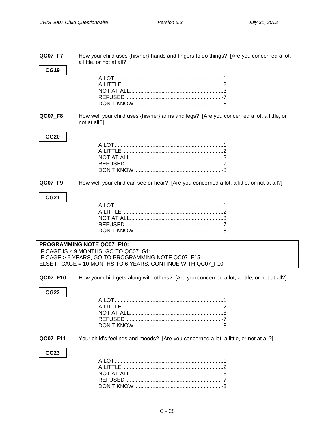<span id="page-27-1"></span><span id="page-27-0"></span>

| QC07_F7     | How your child uses {his/her} hands and fingers to do things? [Are you concerned a lot,<br>a little, or not at all?] |
|-------------|----------------------------------------------------------------------------------------------------------------------|
| <b>CG19</b> |                                                                                                                      |
|             |                                                                                                                      |
| QC07_F8     | How well your child uses {his/her} arms and legs? [Are you concerned a lot, a little, or<br>not at all?]             |
| <b>CG20</b> |                                                                                                                      |
|             |                                                                                                                      |
| QC07_F9     | How well your child can see or hear? [Are you concerned a lot, a little, or not at all?]                             |
| <b>CG21</b> |                                                                                                                      |
|             |                                                                                                                      |
|             |                                                                                                                      |
|             |                                                                                                                      |
|             |                                                                                                                      |
|             |                                                                                                                      |
|             | PROGRAMMING NOTE QC07_F10:                                                                                           |
|             | IF CAGE IS ≤ 9 MONTHS, GO TO QC07_G1;                                                                                |
|             | IF CAGE > 6 YEARS, GO TO PROGRAMMING NOTE QC07_F15;                                                                  |
|             | ELSE IF CAGE = 10 MONTHS TO 6 YEARS, CONTINUE WITH QC07_F10;                                                         |
| QC07_F10    | How your child gets along with others? [Are you concerned a lot, a little, or not at all?]                           |
| <b>CG22</b> |                                                                                                                      |
|             |                                                                                                                      |
|             |                                                                                                                      |
|             |                                                                                                                      |
|             |                                                                                                                      |
|             |                                                                                                                      |
| QC07_F11    | Your child's feelings and moods? [Are you concerned a lot, a little, or not at all?]                                 |
| <b>CG23</b> |                                                                                                                      |
|             |                                                                                                                      |
|             |                                                                                                                      |
|             |                                                                                                                      |
|             |                                                                                                                      |
|             |                                                                                                                      |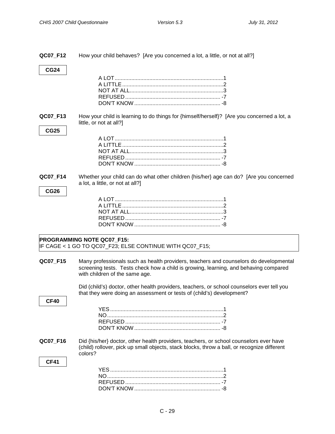<span id="page-28-0"></span>

| QC07 F12                | How your child behaves? [Are you concerned a lot, a little, or not at all?]                                                                                                                                     |
|-------------------------|-----------------------------------------------------------------------------------------------------------------------------------------------------------------------------------------------------------------|
| <b>CG24</b>             |                                                                                                                                                                                                                 |
| QC07_F13<br><b>CG25</b> | How your child is learning to do things for {himself/herself}? [Are you concerned a lot, a<br>little, or not at all?]                                                                                           |
|                         |                                                                                                                                                                                                                 |
| QC07_F14<br><b>CG26</b> | Whether your child can do what other children {his/her} age can do? [Are you concerned<br>a lot, a little, or not at all?]                                                                                      |
|                         |                                                                                                                                                                                                                 |
|                         | <b>PROGRAMMING NOTE QC07_F15:</b><br>IF CAGE < 1 GO TO QC07_F23; ELSE CONTINUE WITH QC07_F15;                                                                                                                   |
| QC07_F15                | Many professionals such as health providers, teachers and counselors do developmental<br>screening tests. Tests check how a child is growing, learning, and behaving compared<br>with children of the same age. |
| <b>CF40</b>             | Did (child's) doctor, other health providers, teachers, or school counselors ever tell you<br>that they were doing an assessment or tests of (child's) development?                                             |
|                         |                                                                                                                                                                                                                 |
| QC07_F16                | Did {his/her} doctor, other health providers, teachers, or school counselors ever have<br>(child) rollover, pick up small objects, stack blocks, throw a ball, or recognize different<br>colors?                |
| <b>CF41</b>             |                                                                                                                                                                                                                 |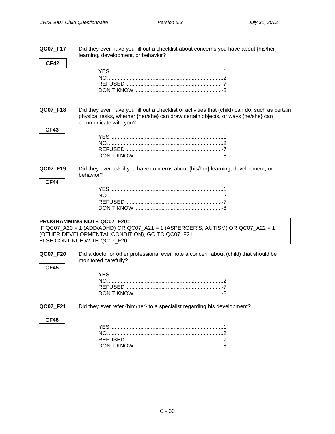**QC07\_F17** Did they ever have you fill out a checklist about concerns you have about {his/her}

|                 | learning, development, or behavior?                                                            |
|-----------------|------------------------------------------------------------------------------------------------|
| <b>CF42</b>     |                                                                                                |
|                 |                                                                                                |
|                 |                                                                                                |
|                 |                                                                                                |
|                 |                                                                                                |
|                 |                                                                                                |
|                 |                                                                                                |
| <b>QC07 F18</b> | Did they ever have you fill out a checklist of activities that (child) can do, such as certain |
|                 | physical tasks, whether {her/she} can draw certain objects, or ways {he/she} can               |
|                 | communicate with you?                                                                          |
| <b>CF43</b>     |                                                                                                |
|                 |                                                                                                |
|                 |                                                                                                |
|                 |                                                                                                |
|                 |                                                                                                |
|                 |                                                                                                |
| QC07 F19        | Did they ever ask if you have concerns about {his/her} learning, development, or               |
|                 | behavior?                                                                                      |
| <b>CF44</b>     |                                                                                                |
|                 |                                                                                                |
|                 |                                                                                                |
|                 |                                                                                                |
|                 |                                                                                                |
|                 |                                                                                                |
|                 | PROGRAMMING NOTE QC07 F20:                                                                     |
|                 | IF QC07_A20 = 1 (ADD/ADHD) OR QC07_A21 = 1 (ASPERGER'S, AUTISM) OR QC07_A22 = 1                |
|                 | (OTHER DEVELOPMENTAL CONDITION), GO TO QC07_F21                                                |
|                 | ELSE CONTINUE WITH QC07_F20                                                                    |
| QC07_F20        | Did a doctor or other professional ever note a concern about (child) that should be            |
|                 | monitored carefully?                                                                           |
| <b>CF45</b>     |                                                                                                |
|                 |                                                                                                |
|                 |                                                                                                |
|                 |                                                                                                |
|                 |                                                                                                |
|                 |                                                                                                |
| QC07_F21        | Did they ever refer {him/her} to a specialist regarding his development?                       |
|                 |                                                                                                |
| CF46            |                                                                                                |
|                 |                                                                                                |
|                 |                                                                                                |
|                 |                                                                                                |
|                 |                                                                                                |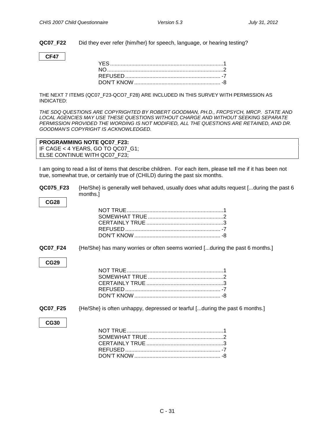**QC07 F22** Did they ever refer {him/her} for speech, language, or hearing testing?

#### **CF47**

THE NEXT 7 ITEMS (QC07\_F23-QCO7\_F28) ARE INCLUDED IN THIS SURVEY WITH PERMISSION AS INDICATED:

*THE SDQ QUESTIONS ARE COPYRIGHTED BY ROBERT GOODMAN, PH.D., FRCPSYCH, MRCP. STATE AND LOCAL AGENCIES MAY USE THESE QUESTIONS WITHOUT CHARGE AND WITHOUT SEEKING SEPARATE PERMISSION PROVIDED THE WORDING IS NOT MODIFIED, ALL THE QUESTIONS ARE RETAINED, AND DR. GOODMAN'S COPYRIGHT IS ACKNOWLEDGED.*

#### **PROGRAMMING NOTE QC07\_F23:**

IF CAGE < 4 YEARS, GO TO QC07\_G1; ELSE CONTINUE WITH QC07\_F23;

I am going to read a list of items that describe children. For each item, please tell me if it has been not true, somewhat true, or certainly true of (CHILD) during the past six months.

| QC075 F23 | {He/She} is generally well behaved, usually does what adults request [during the past 6 |
|-----------|-----------------------------------------------------------------------------------------|
|           | months.1                                                                                |

**QC07 F24** {He/She} has many worries or often seems worried [...during the past 6 months.]

#### **CG29**

**CG28**

**QC07 F25** {He/She} is often unhappy, depressed or tearful [...during the past 6 months.]

#### **CG30**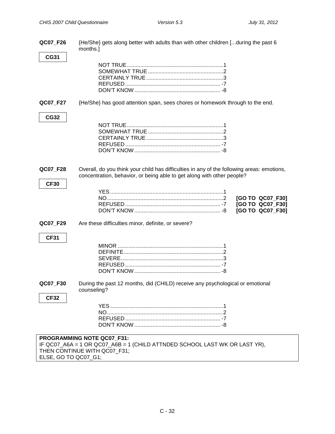| QC07_F26                | {He/She} gets along better with adults than with other children [during the past 6<br>months.]                                                                       |
|-------------------------|----------------------------------------------------------------------------------------------------------------------------------------------------------------------|
| <b>CG31</b>             |                                                                                                                                                                      |
|                         |                                                                                                                                                                      |
| QC07_F27                | {He/She} has good attention span, sees chores or homework through to the end.                                                                                        |
| <b>CG32</b>             |                                                                                                                                                                      |
| QC07_F28<br><b>CF30</b> | Overall, do you think your child has difficulties in any of the following areas: emotions,<br>concentration, behavior, or being able to get along with other people? |
|                         | [GO TO QC07_F30]<br>[GO TO QC07_F30]<br>[GO TO QC07_F30]                                                                                                             |
| QC07_F29                | Are these difficulties minor, definite, or severe?                                                                                                                   |
| <b>CF31</b>             |                                                                                                                                                                      |
| QC07_F30                | During the past 12 months, did (CHILD) receive any psychological or emotional<br>counseling?                                                                         |
| <b>CF32</b>             |                                                                                                                                                                      |
|                         | PROGRAMMING NOTE QC07_F31:<br>IF QC07_A6A = 1 OR QC07_A6B = 1 (CHILD ATTNDED SCHOOL LAST WK OR LAST YR),<br>THEN CONTINUE WITH QC07 F31;                             |

ELSE, GO TO QC07\_G1;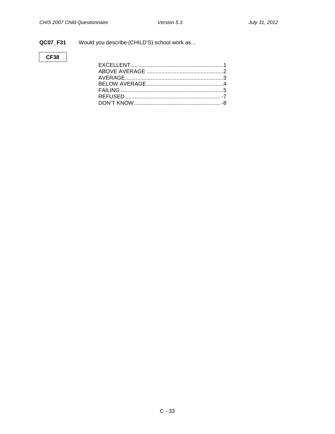#### QC07\_F31

Would you describe (CHILD'S) school work as...

#### **CF38**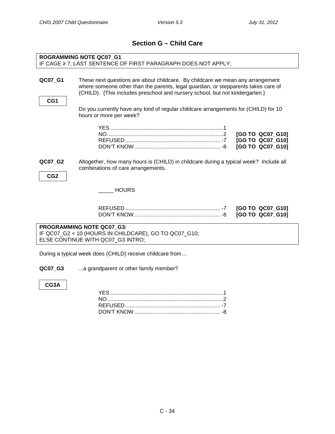## **Section G – Child Care**

<span id="page-33-1"></span><span id="page-33-0"></span>

|                                                                                                                         | <b>ROGRAMMING NOTE QC07 G1</b><br>IF CAGE ≥ 7, LAST SENTENCE OF FIRST PARAGRAPH DOES NOT APPLY;                                                                                                                                                      |                                                          |
|-------------------------------------------------------------------------------------------------------------------------|------------------------------------------------------------------------------------------------------------------------------------------------------------------------------------------------------------------------------------------------------|----------------------------------------------------------|
| QC07_G1<br>CG1                                                                                                          | These next questions are about childcare. By childcare we mean any arrangement<br>where someone other than the parents, legal guardian, or stepparents takes care of<br>(CHILD). {This includes preschool and nursery school, but not kindergarten.} |                                                          |
|                                                                                                                         | Do you currently have any kind of regular childcare arrangements for (CHILD) for 10<br>hours or more per week?                                                                                                                                       |                                                          |
|                                                                                                                         |                                                                                                                                                                                                                                                      | [GO TO QC07 G10]<br>[GO TO QC07_G10]<br>[GO TO QC07 G10] |
| QC07_G2<br>CG <sub>2</sub>                                                                                              | Altogether, how many hours is (CHILD) in childcare during a typical week? Include all<br>combinations of care arrangements.                                                                                                                          |                                                          |
|                                                                                                                         | <b>HOURS</b>                                                                                                                                                                                                                                         |                                                          |
|                                                                                                                         |                                                                                                                                                                                                                                                      | [GO TO QC07_G10]<br>[GO TO QC07 G10]                     |
| PROGRAMMING NOTE QC07_G3:<br>IF QC07_G2 < 10 (HOURS IN CHILDCARE), GO TO QC07_G10;<br>ELSE CONTINUE WITH QC07_G3 INTRO; |                                                                                                                                                                                                                                                      |                                                          |
|                                                                                                                         | During a typical week does (CHILD) receive childcare from                                                                                                                                                                                            |                                                          |

**QC07\_G3** ...a grandparent or other family member?

**CG3A**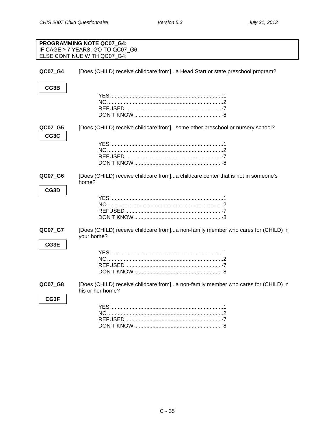<span id="page-34-0"></span>

|                 | PROGRAMMING NOTE QC07_G4:<br>IF CAGE ≥ 7 YEARS, GO TO QC07_G6;<br>ELSE CONTINUE WITH QC07_G4;         |
|-----------------|-------------------------------------------------------------------------------------------------------|
| QC07_G4         | [Does (CHILD) receive childcare from]a Head Start or state preschool program?                         |
| CG3B            |                                                                                                       |
| QC07_G5<br>CG3C | [Does (CHILD) receive childcare from]some other preschool or nursery school?                          |
| QC07 G6<br>CG3D | [Does (CHILD) receive childcare from]a childcare center that is not in someone's<br>home?             |
| QC07_G7<br>CG3E | [Does (CHILD) receive childcare from]a non-family member who cares for (CHILD) in<br>your home?       |
| QC07_G8<br>CG3F | [Does (CHILD) receive childcare from]a non-family member who cares for (CHILD) in<br>his or her home? |

DON'T KNOW ......................................................... -8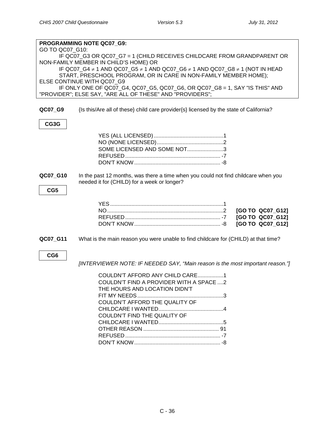<span id="page-35-0"></span>

|                 | PROGRAMMING NOTE QC07 G9:                                                                                 |
|-----------------|-----------------------------------------------------------------------------------------------------------|
| GO TO QC07_G10: | IF QC07_G3 OR QC07_G7 = 1 (CHILD RECEIVES CHILDCARE FROM GRANDPARENT OR                                   |
|                 | NON-FAMILY MEMBER IN CHILD'S HOME) OR                                                                     |
|                 | IF QC07_G4 $\neq$ 1 AND QC07_G5 $\neq$ 1 AND QC07_G6 $\neq$ 1 AND QC07_G8 $\neq$ 1 (NOT IN HEAD           |
|                 | START, PRESCHOOL PROGRAM, OR IN CARE IN NON-FAMILY MEMBER HOME);                                          |
|                 | ELSE CONTINUE WITH QC07_G9<br>IF ONLY ONE OF QC07_G4, QC07_G5, QC07_G6, OR QC07_G8 = 1, SAY "IS THIS" AND |
|                 | "PROVIDER"; ELSE SAY, "ARE ALL OF THESE" AND "PROVIDERS";                                                 |
|                 |                                                                                                           |
| QC07_G9         | {Is this/Are all of these} child care provider{s} licensed by the state of California?                    |
| CG3G            |                                                                                                           |
|                 |                                                                                                           |
|                 |                                                                                                           |
|                 | SOME LICENSED AND SOME NOT3                                                                               |
|                 |                                                                                                           |
|                 |                                                                                                           |
| QC07_G10        | In the past 12 months, was there a time when you could not find childcare when you                        |
|                 | needed it for (CHILD) for a week or longer?                                                               |
| CG5             |                                                                                                           |
|                 |                                                                                                           |
|                 |                                                                                                           |
|                 | [GO TO QC07_G12]                                                                                          |
|                 | [GO TO QC07_G12]                                                                                          |
|                 | [GO TO QC07_G12]                                                                                          |
| QC07_G11        | What is the main reason you were unable to find childcare for (CHILD) at that time?                       |
|                 |                                                                                                           |
| CG <sub>6</sub> |                                                                                                           |
|                 | [INTERVIEWER NOTE: IF NEEDED SAY, "Main reason is the most important reason."]                            |
|                 | COULDN'T AFFORD ANY CHILD CARE1                                                                           |
|                 | COULDN'T FIND A PROVIDER WITH A SPACE 2                                                                   |
|                 | THE HOURS AND LOCATION DIDN'T                                                                             |
|                 |                                                                                                           |
|                 | COULDN'T AFFORD THE QUALITY OF                                                                            |
|                 |                                                                                                           |
|                 | COULDN'T FIND THE QUALITY OF                                                                              |
|                 |                                                                                                           |
|                 |                                                                                                           |
|                 |                                                                                                           |
|                 |                                                                                                           |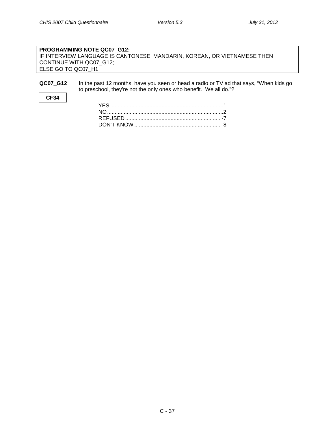#### **PROGRAMMING NOTE QC07\_G12:** IF INTERVIEW LANGUAGE IS CANTONESE, MANDARIN, KOREAN, OR VIETNAMESE THEN CONTINUE WITH QC07\_G12; ELSE GO TO QC07\_H1;

#### **QC07\_G12** In the past 12 months, have you seen or head a radio or TV ad that says, "When kids go to preschool, they're not the only ones who benefit. We all do."?

#### **CF34**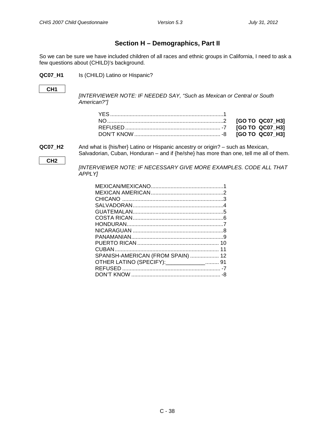### **Section H – Demographics, Part II**

<span id="page-37-0"></span>So we can be sure we have included children of all races and ethnic groups in California, I need to ask a few questions about (CHILD)'s background.

**QC07\_H1** Is (CHILD) Latino or Hispanic?

#### **CH1**

*[INTERVIEWER NOTE: IF NEEDED SAY, "Such as Mexican or Central or South American?"]*

**QC07\_H2** And what is {his/her} Latino or Hispanic ancestry or origin? – such as Mexican, Salvadorian, Cuban, Honduran – and if {he/she} has more than one, tell me all of them.

```
CH2
```
*[INTERVIEWER NOTE: IF NECESSARY GIVE MORE EXAMPLES. CODE ALL THAT APPLY]*

| SPANISH-AMERICAN (FROM SPAIN)  12 |  |
|-----------------------------------|--|
| OTHER LATINO (SPECIFY): 1914      |  |
|                                   |  |
|                                   |  |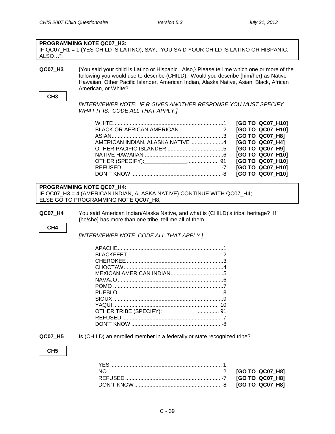#### **PROGRAMMING NOTE QC07\_H3:**

IF QC07\_H1 = 1 (YES-CHILD IS LATINO), SAY, "YOU SAID YOUR CHILD IS LATINO OR HISPANIC. ALSO…";

**QC07\_H3** {You said your child is Latino or Hispanic. Also,} Please tell me which one or more of the following you would use to describe (CHILD). Would you describe {him/her} as Native Hawaiian, Other Pacific Islander, American Indian, Alaska Native, Asian, Black, African American, or White?

#### **CH3**

*[INTERVIEWER NOTE: IF R GIVES ANOTHER RESPONSE YOU MUST SPECIFY WHAT IT IS. CODE ALL THAT APPLY.]*

|  | [GO TO QC07 H10] |
|--|------------------|
|  | [GO TO QC07_H10] |
|  | [GO TO QC07 H8]  |
|  | [GO TO QC07 H4]  |
|  | [GO TO QC07_H9]  |
|  | [GO TO QC07 H10] |
|  | [GO TO QC07 H10] |
|  | [GO TO QC07 H10] |
|  | [GO TO QC07_H10] |

#### **PROGRAMMING NOTE QC07\_H4:**

IF QC07\_H3 = 4 (AMERICAN INDIAN, ALASKA NATIVE) CONTINUE WITH QC07\_H4; ELSE GO TO PROGRAMMING NOTE QC07 H8;

**QC07\_H4** You said American Indian/Alaska Native, and what is (CHILD)'s tribal heritage? If {he/she} has more than one tribe, tell me all of them.

**CH4**

*[INTERVIEWER NOTE: CODE ALL THAT APPLY.]*

**QC07\_H5** Is (CHILD) an enrolled member in a federally or state recognized tribe?

**CH5**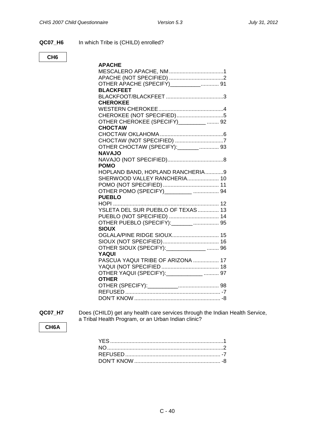#### **QC07\_H6** In which Tribe is (CHILD) enrolled?

#### **CH6**

| <b>APACHE</b>                        |
|--------------------------------------|
|                                      |
|                                      |
| OTHER APACHE (SPECIFY)___________ 91 |
| <b>BLACKFEET</b>                     |
|                                      |
| <b>CHEROKEE</b>                      |
|                                      |
|                                      |
| OTHER CHEROKEE (SPECIFY)________  92 |
| <b>CHOCTAW</b>                       |
|                                      |
|                                      |
| OTHER CHOCTAW (SPECIFY): _______  93 |
| <b>NAVAJO</b>                        |
|                                      |
| <b>POMO</b>                          |
| HOPLAND BAND, HOPLAND RANCHERIA9     |
| SHERWOOD VALLEY RANCHERIA 10         |
|                                      |
| OTHER POMO (SPECIFY)_________  94    |
| <b>PUEBLO</b>                        |
|                                      |
| YSLETA DEL SUR PUEBLO OF TEXAS  13   |
| PUEBLO (NOT SPECIFIED)  14           |
|                                      |
| <b>SIOUX</b>                         |
| OGLALA/PINE RIDGE SIOUX 15           |
|                                      |
| OTHER SIOUX (SPECIFY): 07HER 310UX   |
| YAQUI                                |
| PASCUA YAQUI TRIBE OF ARIZONA  17    |
|                                      |
|                                      |
| <b>OTHER</b>                         |
|                                      |
|                                      |
|                                      |

**QC07\_H7** Does (CHILD) get any health care services through the Indian Health Service, a Tribal Health Program, or an Urban Indian clinic?

#### **CH6A**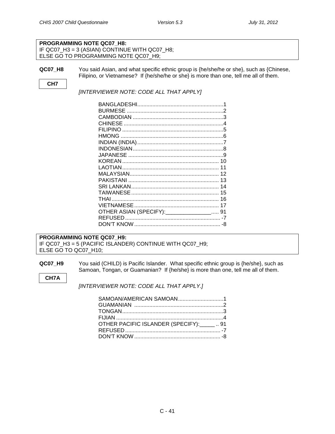#### **PROGRAMMING NOTE QC07\_H8:** IF QC07\_H3 = 3 (ASIAN) CONTINUE WITH QC07\_H8; ELSE GO TO PROGRAMMING NOTE QC07\_H9;

**QC07\_H8** You said Asian, and what specific ethnic group is {he/she/he or she}, such as {Chinese, Filipino, or Vietnamese? If {he/she/he or she} is more than one, tell me all of them.

#### **CH7**

#### *[INTERVIEWER NOTE: CODE ALL THAT APPLY]*

| 11 |
|----|
|    |
|    |
|    |
|    |
|    |
|    |
|    |
|    |
| -8 |
|    |

#### **PROGRAMMING NOTE QC07\_H9:** IF QC07\_H3 = 5 (PACIFIC ISLANDER) CONTINUE WITH QC07\_H9; ELSE GO TO QC07\_H10;

#### **QC07\_H9** You said (CHILD) is Pacific Islander. What specific ethnic group is {he/she}, such as Samoan, Tongan, or Guamanian? If {he/she} is more than one, tell me all of them.

**CH7A**

*[INTERVIEWER NOTE: CODE ALL THAT APPLY.]*

| SAMOAN/AMERICAN SAMOAN1                      |  |
|----------------------------------------------|--|
|                                              |  |
|                                              |  |
|                                              |  |
| OTHER PACIFIC ISLANDER (SPECIFY): ______  91 |  |
|                                              |  |
|                                              |  |
|                                              |  |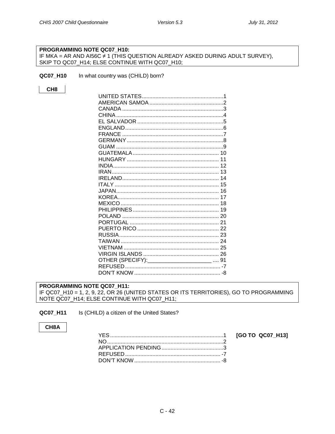#### PROGRAMMING NOTE QC07\_H10:

IF MKA = AR AND AI56C #1 (THIS QUESTION ALREADY ASKED DURING ADULT SURVEY), SKIP TO QC07\_H14; ELSE CONTINUE WITH QC07\_H10;

QC07\_H10 In what country was (CHILD) born?

CH<sub>8</sub>

| GUAM                                           |  |
|------------------------------------------------|--|
|                                                |  |
|                                                |  |
|                                                |  |
|                                                |  |
|                                                |  |
|                                                |  |
|                                                |  |
|                                                |  |
|                                                |  |
|                                                |  |
|                                                |  |
|                                                |  |
|                                                |  |
|                                                |  |
|                                                |  |
|                                                |  |
|                                                |  |
| OTHER (SPECIFY): _________________________  91 |  |
|                                                |  |
|                                                |  |

PROGRAMMING NOTE QC07 H11: IF QC07\_H10 = 1, 2, 9, 22, OR 26 (UNITED STATES OR ITS TERRITORIES), GO TO PROGRAMMING NOTE QC07\_H14; ELSE CONTINUE WITH QC07\_H11;

<span id="page-41-0"></span>QC07\_H11 Is (CHILD) a citizen of the United States?

#### CH8A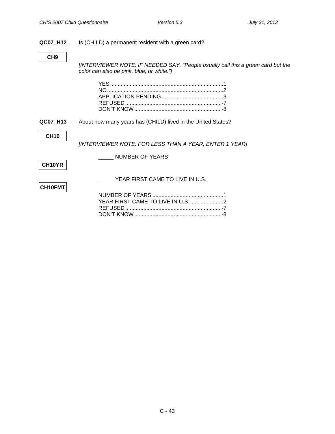#### **QC07\_H12** Is (CHILD) a permanent resident with a green card?

**CH9**

*[INTERVIEWER NOTE: IF NEEDED SAY, "People usually call this a green card but the color can also be pink, blue, or white."]*

**QC07\_H13** About how many years has (CHILD) lived in the United States?

#### **CH10**

*[INTERVIEWER NOTE: FOR LESS THAN A YEAR, ENTER 1 YEAR]*

**CH10YR**

\_\_\_\_\_ NUMBER OF YEARS

## **CH10FMT**

YEAR FIRST CAME TO LIVE IN U.S.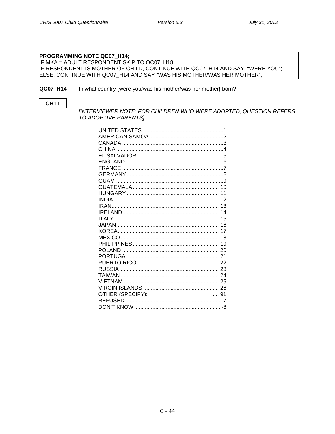#### PROGRAMMING NOTE QC07 H14; IF MKA = ADULT RESPONDENT SKIP TO QC07\_H18; IF RESPONDENT IS MOTHER OF CHILD, CONTINUE WITH QC07\_H14 AND SAY, "WERE YOU"; ELSE, CONTINUE WITH QC07\_H14 AND SAY "WAS HIS MOTHER/WAS HER MOTHER";

#### <span id="page-43-0"></span>QC07\_H14 In what country {were you/was his mother/was her mother} born?

#### **CH11**

[INTERVIEWER NOTE: FOR CHILDREN WHO WERE ADOPTED, QUESTION REFERS TO ADOPTIVE PARENTS]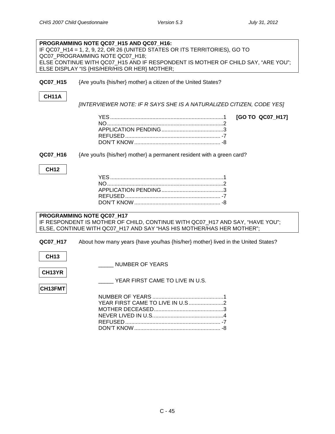|             | PROGRAMMING NOTE QC07_H15 AND QC07_H16:                                          |
|-------------|----------------------------------------------------------------------------------|
|             | IF QC07_H14 = 1, 2, 9, 22, OR 26 (UNITED STATES OR ITS TERRITORIES), GO TO       |
|             | QC07 PROGRAMMING NOTE QC07 H18;                                                  |
|             | ELSE CONTINUE WITH QC07_H15 AND IF RESPONDENT IS MOTHER OF CHILD SAY, "ARE YOU"; |
|             | ELSE DISPLAY "IS {HIS/HER/HIS OR HER} MOTHER;                                    |
|             |                                                                                  |
|             |                                                                                  |
| QC07_H15    | {Are you/Is {his/her} mother} a citizen of the United States?                    |
|             |                                                                                  |
| CH11A       |                                                                                  |
|             |                                                                                  |
|             | [INTERVIEWER NOTE: IF R SAYS SHE IS A NATURALIZED CITIZEN, CODE YES]             |
|             |                                                                                  |
|             | [GO TO QC07_H17]                                                                 |
|             |                                                                                  |
|             |                                                                                  |
|             |                                                                                  |
|             |                                                                                  |
|             |                                                                                  |
|             |                                                                                  |
| QC07_H16    | {Are you/ls {his/her} mother} a permanent resident with a green card?            |
|             |                                                                                  |
| <b>CH12</b> |                                                                                  |
|             |                                                                                  |
|             |                                                                                  |
|             |                                                                                  |
|             |                                                                                  |
|             |                                                                                  |
|             |                                                                                  |
|             |                                                                                  |
|             | PROGRAMMING NOTE QC07_H17                                                        |
|             |                                                                                  |
|             | IF RESPONDENT IS MOTHER OF CHILD, CONTINUE WITH QC07_H17 AND SAY, "HAVE YOU";    |
|             | ELSE, CONTINUE WITH QC07_H17 AND SAY "HAS HIS MOTHER/HAS HER MOTHER";            |
|             |                                                                                  |
| QC07_H17    | About how many years {have you/has {his/her} mother} lived in the United States? |
|             |                                                                                  |
|             |                                                                                  |
| <b>CH13</b> |                                                                                  |
|             | <b>NUMBER OF YEARS</b>                                                           |
| CH13YR      |                                                                                  |
|             |                                                                                  |
|             | YEAR FIRST CAME TO LIVE IN U.S.                                                  |
| CH13FMT     |                                                                                  |
|             |                                                                                  |
|             |                                                                                  |
|             |                                                                                  |
|             |                                                                                  |
|             |                                                                                  |
|             |                                                                                  |
|             |                                                                                  |
|             |                                                                                  |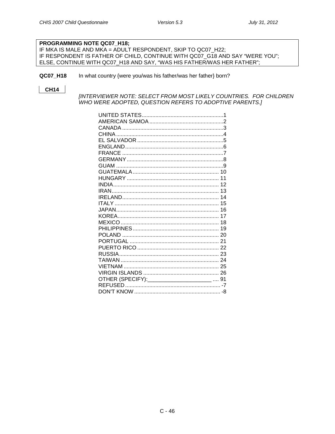#### PROGRAMMING NOTE QC07\_H18;

IF MKA IS MALE AND MKA = ADULT RESPONDENT, SKIP TO QC07\_H22; IF RESPONDENT IS FATHER OF CHILD, CONTINUE WITH QC07\_G18 AND SAY "WERE YOU"; ELSE, CONTINUE WITH QC07\_H18 AND SAY, "WAS HIS FATHER/WAS HER FATHER";

#### QC07\_H18 In what country {were you/was his father/was her father} born?

#### **CH14**

[INTERVIEWER NOTE: SELECT FROM MOST LIKELY COUNTRIES. FOR CHILDREN WHO WERE ADOPTED, QUESTION REFERS TO ADOPTIVE PARENTS.]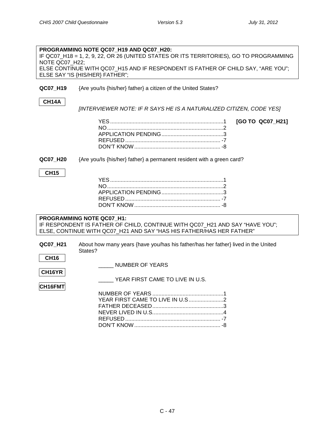| NOTE QC07 H22;                                                                                                                                                                    | PROGRAMMING NOTE QC07 H19 AND QC07 H20:<br>IF QC07_H18 = 1, 2, 9, 22, OR 26 (UNITED STATES OR ITS TERRITORIES), GO TO PROGRAMMING<br>ELSE CONTINUE WITH QC07_H15 AND IF RESPONDENT IS FATHER OF CHILD SAY, "ARE YOU";<br>ELSE SAY "IS {HIS/HER} FATHER"; |  |  |  |
|-----------------------------------------------------------------------------------------------------------------------------------------------------------------------------------|----------------------------------------------------------------------------------------------------------------------------------------------------------------------------------------------------------------------------------------------------------|--|--|--|
| QC07_H19                                                                                                                                                                          | {Are you/ls {his/her} father} a citizen of the United States?                                                                                                                                                                                            |  |  |  |
| <b>CH14A</b>                                                                                                                                                                      | [INTERVIEWER NOTE: IF R SAYS HE IS A NATURALIZED CITIZEN, CODE YES]                                                                                                                                                                                      |  |  |  |
|                                                                                                                                                                                   | [GO TO QC07_H21]                                                                                                                                                                                                                                         |  |  |  |
| QC07_H20                                                                                                                                                                          | {Are you/ls {his/her} father} a permanent resident with a green card?                                                                                                                                                                                    |  |  |  |
| <b>CH15</b>                                                                                                                                                                       |                                                                                                                                                                                                                                                          |  |  |  |
| PROGRAMMING NOTE QC07 H1:<br>IF RESPONDENT IS FATHER OF CHILD, CONTINUE WITH QC07_H21 AND SAY "HAVE YOU";<br>ELSE, CONTINUE WITH QC07_H21 AND SAY "HAS HIS FATHER/HAS HER FATHER" |                                                                                                                                                                                                                                                          |  |  |  |
| QC07_H21<br><b>CH16</b>                                                                                                                                                           | About how many years {have you/has his father/has her father} lived in the United<br>States?                                                                                                                                                             |  |  |  |
| CH16YR                                                                                                                                                                            | <b>NUMBER OF YEARS</b><br>YEAR FIRST CAME TO LIVE IN U.S.                                                                                                                                                                                                |  |  |  |
| CH16FMT                                                                                                                                                                           |                                                                                                                                                                                                                                                          |  |  |  |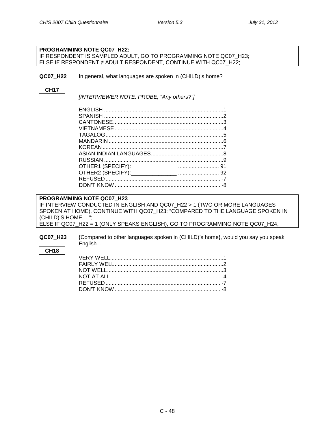<span id="page-47-0"></span>

|                   | PROGRAMMING NOTE QC07 H22:                                                      |
|-------------------|---------------------------------------------------------------------------------|
|                   | IF RESPONDENT IS SAMPLED ADULT, GO TO PROGRAMMING NOTE QC07_H23;                |
|                   | ELSE IF RESPONDENT ≠ ADULT RESPONDENT, CONTINUE WITH QC07 H22;                  |
|                   |                                                                                 |
| QC07 H22          | In general, what languages are spoken in (CHILD)'s home?                        |
|                   |                                                                                 |
| <b>CH17</b>       |                                                                                 |
|                   | [INTERVIEWER NOTE: PROBE, "Any others?"]                                        |
|                   |                                                                                 |
|                   |                                                                                 |
|                   |                                                                                 |
|                   |                                                                                 |
|                   |                                                                                 |
|                   |                                                                                 |
|                   |                                                                                 |
|                   |                                                                                 |
|                   |                                                                                 |
|                   |                                                                                 |
|                   |                                                                                 |
|                   |                                                                                 |
|                   |                                                                                 |
|                   |                                                                                 |
|                   |                                                                                 |
|                   | PROGRAMMING NOTE QC07 H23                                                       |
|                   | IF INTERVIEW CONDUCTED IN ENGLISH AND QC07_H22 > 1 (TWO OR MORE LANGUAGES       |
|                   | SPOKEN AT HOME), CONTINUE WITH QC07_H23: "COMPARED TO THE LANGUAGE SPOKEN IN    |
| (CHILD)'S HOME,"; |                                                                                 |
|                   | ELSE IF QC07_H22 = 1 (ONLY SPEAKS ENGLISH), GO TO PROGRAMMING NOTE QC07_H24;    |
|                   |                                                                                 |
| QC07_H23          | {Compared to other languages spoken in (CHILD)'s home}, would you say you speak |
|                   | English                                                                         |
| <b>CH18</b>       |                                                                                 |
|                   |                                                                                 |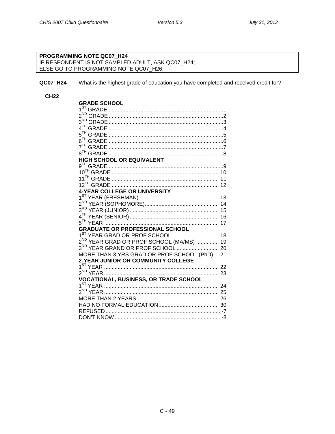#### **PROGRAMMING NOTE QC07\_H24** IF RESPONDENT IS NOT SAMPLED ADULT, ASK QC07\_H24; ELSE GO TO PROGRAMMING NOTE QC07\_H26;

<span id="page-48-0"></span>**QC07\_H24** What is the highest grade of education you have completed and received credit for?

#### **CH22**

| <b>GRADE SCHOOL</b>                                  |
|------------------------------------------------------|
|                                                      |
|                                                      |
|                                                      |
|                                                      |
|                                                      |
|                                                      |
|                                                      |
|                                                      |
| <b>HIGH SCHOOL OR EQUIVALENT</b>                     |
|                                                      |
|                                                      |
|                                                      |
|                                                      |
| <b>4-YEAR COLLEGE OR UNIVERSITY</b>                  |
|                                                      |
|                                                      |
|                                                      |
|                                                      |
|                                                      |
| <b>GRADUATE OR PROFESSIONAL SCHOOL</b>               |
|                                                      |
| 2 <sup>ND</sup> YEAR GRAD OR PROF SCHOOL (MA/MS)  19 |
|                                                      |
| MORE THAN 3 YRS GRAD OR PROF SCHOOL (PhD)  21        |
| 2-YEAR JUNIOR OR COMMUNITY COLLEGE                   |
|                                                      |
|                                                      |
| <b>VOCATIONAL, BUSINESS, OR TRADE SCHOOL</b>         |
|                                                      |
|                                                      |
|                                                      |
|                                                      |
|                                                      |
|                                                      |